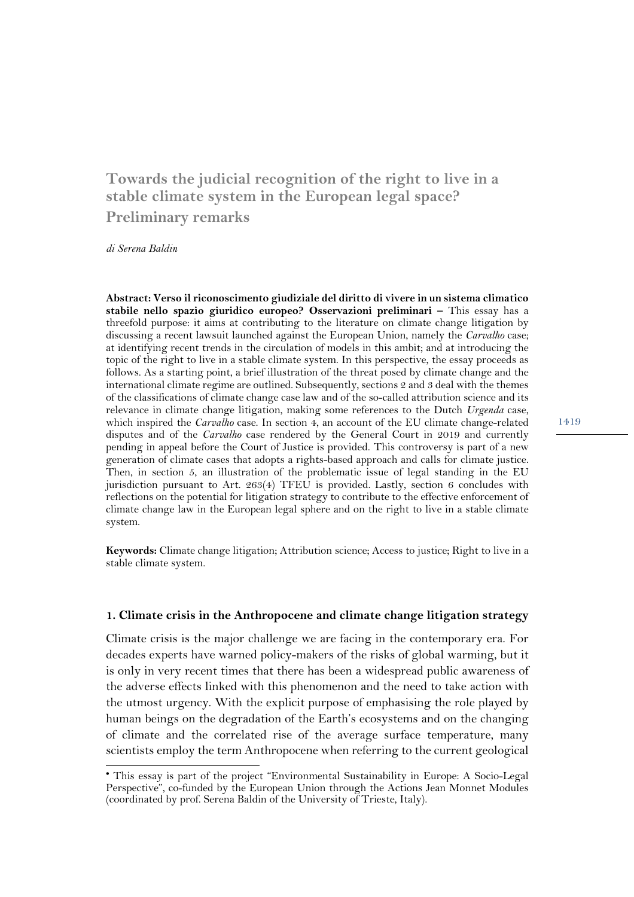# **Towards the judicial recognition of the right to live in a stable climate system in the European legal space? Preliminary remarks**•

*di Serena Baldin*

**Abstract: Verso il riconoscimento giudiziale del diritto di vivere in un sistema climatico stabile nello spazio giuridico europeo? Osservazioni preliminari –** This essay has a threefold purpose: it aims at contributing to the literature on climate change litigation by discussing a recent lawsuit launched against the European Union, namely the *Carvalho* case; at identifying recent trends in the circulation of models in this ambit; and at introducing the topic of the right to live in a stable climate system. In this perspective, the essay proceeds as follows. As a starting point, a brief illustration of the threat posed by climate change and the international climate regime are outlined. Subsequently, sections 2 and 3 deal with the themes of the classifications of climate change case law and of the so-called attribution science and its relevance in climate change litigation, making some references to the Dutch *Urgenda* case, which inspired the *Carvalho* case. In section 4, an account of the EU climate change-related disputes and of the *Carvalho* case rendered by the General Court in 2019 and currently pending in appeal before the Court of Justice is provided. This controversy is part of a new generation of climate cases that adopts a rights-based approach and calls for climate justice. Then, in section 5, an illustration of the problematic issue of legal standing in the EU jurisdiction pursuant to Art. 263(4) TFEU is provided. Lastly, section 6 concludes with reflections on the potential for litigation strategy to contribute to the effective enforcement of climate change law in the European legal sphere and on the right to live in a stable climate system.

**Keywords:** Climate change litigation; Attribution science; Access to justice; Right to live in a stable climate system.

#### **1. Climate crisis in the Anthropocene and climate change litigation strategy**

Climate crisis is the major challenge we are facing in the contemporary era. For decades experts have warned policy-makers of the risks of global warming, but it is only in very recent times that there has been a widespread public awareness of the adverse effects linked with this phenomenon and the need to take action with the utmost urgency. With the explicit purpose of emphasising the role played by human beings on the degradation of the Earth's ecosystems and on the changing of climate and the correlated rise of the average surface temperature, many scientists employ the term Anthropocene when referring to the current geological

<sup>•</sup> This essay is part of the project "Environmental Sustainability in Europe: A Socio-Legal Perspective", co-funded by the European Union through the Actions Jean Monnet Modules (coordinated by prof. Serena Baldin of the University of Trieste, Italy).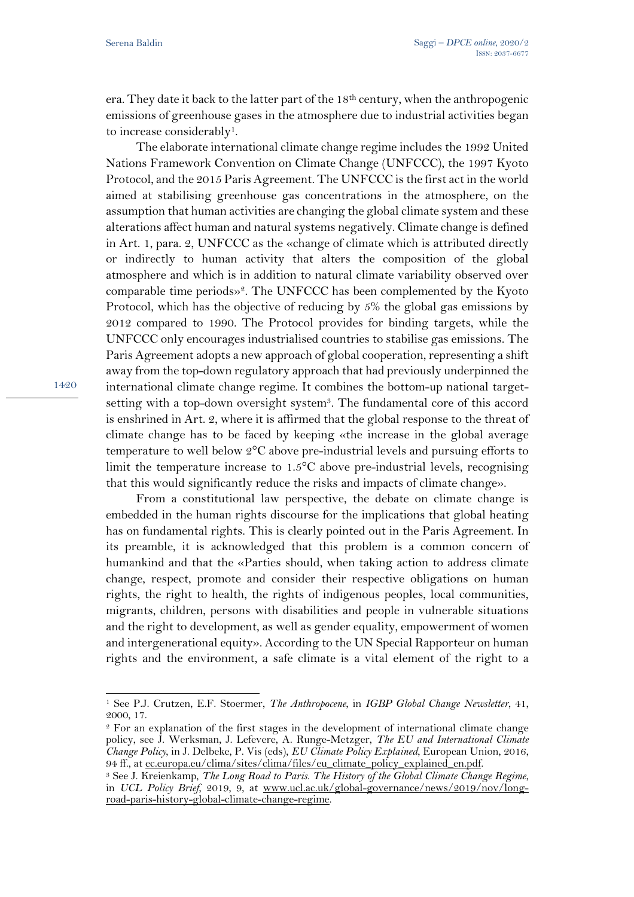era. They date it back to the latter part of the 18th century, when the anthropogenic emissions of greenhouse gases in the atmosphere due to industrial activities began to increase considerably<sup>1</sup>.

The elaborate international climate change regime includes the 1992 United Nations Framework Convention on Climate Change (UNFCCC), the 1997 Kyoto Protocol, and the 2015 Paris Agreement. The UNFCCC is the first act in the world aimed at stabilising greenhouse gas concentrations in the atmosphere, on the assumption that human activities are changing the global climate system and these alterations affect human and natural systems negatively. Climate change is defined in Art. 1, para. 2, UNFCCC as the «change of climate which is attributed directly or indirectly to human activity that alters the composition of the global atmosphere and which is in addition to natural climate variability observed over comparable time periods»2. The UNFCCC has been complemented by the Kyoto Protocol, which has the objective of reducing by 5% the global gas emissions by 2012 compared to 1990. The Protocol provides for binding targets, while the UNFCCC only encourages industrialised countries to stabilise gas emissions. The Paris Agreement adopts a new approach of global cooperation, representing a shift away from the top-down regulatory approach that had previously underpinned the international climate change regime. It combines the bottom-up national targetsetting with a top-down oversight system<sup>3</sup>. The fundamental core of this accord is enshrined in Art. 2, where it is affirmed that the global response to the threat of climate change has to be faced by keeping «the increase in the global average temperature to well below 2°C above pre-industrial levels and pursuing efforts to limit the temperature increase to 1.5°C above pre-industrial levels, recognising that this would significantly reduce the risks and impacts of climate change».

From a constitutional law perspective, the debate on climate change is embedded in the human rights discourse for the implications that global heating has on fundamental rights. This is clearly pointed out in the Paris Agreement. In its preamble, it is acknowledged that this problem is a common concern of humankind and that the «Parties should, when taking action to address climate change, respect, promote and consider their respective obligations on human rights, the right to health, the rights of indigenous peoples, local communities, migrants, children, persons with disabilities and people in vulnerable situations and the right to development, as well as gender equality, empowerment of women and intergenerational equity». According to the UN Special Rapporteur on human rights and the environment, a safe climate is a vital element of the right to a

<sup>1</sup> See P.J. Crutzen, E.F. Stoermer, *The Anthropocene*, in *IGBP Global Change Newsletter*, 41, 2000, 17.

<sup>2</sup> For an explanation of the first stages in the development of international climate change policy, see J. Werksman, J. Lefevere, A. Runge-Metzger, *The EU and International Climate Change Policy*, in J. Delbeke, P. Vis (eds), *EU Climate Policy Explained*, European Union, 2016, 94 ff., at ec.europa.eu/clima/sites/clima/files/eu\_climate\_policy\_explained\_en.pdf.

<sup>3</sup> See J. Kreienkamp, *The Long Road to Paris. The History of the Global Climate Change Regime*, in *UCL Policy Brief*, 2019, 9, at www.ucl.ac.uk/global-governance/news/2019/nov/longroad-paris-history-global-climate-change-regime.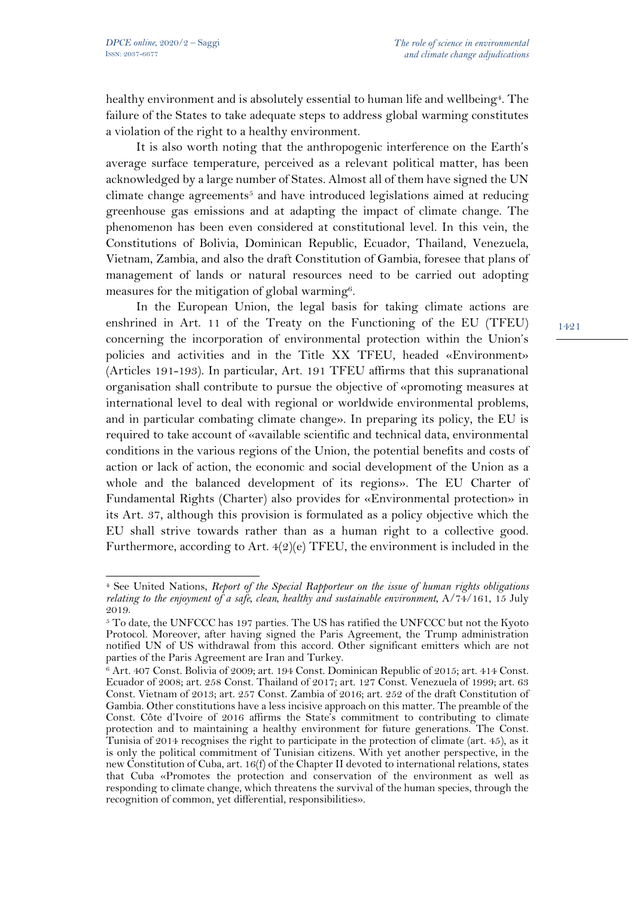healthy environment and is absolutely essential to human life and wellbeing<sup>4</sup>. The failure of the States to take adequate steps to address global warming constitutes a violation of the right to a healthy environment.

It is also worth noting that the anthropogenic interference on the Earth's average surface temperature, perceived as a relevant political matter, has been acknowledged by a large number of States. Almost all of them have signed the UN climate change agreements<sup>5</sup> and have introduced legislations aimed at reducing greenhouse gas emissions and at adapting the impact of climate change. The phenomenon has been even considered at constitutional level. In this vein, the Constitutions of Bolivia, Dominican Republic, Ecuador, Thailand, Venezuela, Vietnam, Zambia, and also the draft Constitution of Gambia, foresee that plans of management of lands or natural resources need to be carried out adopting measures for the mitigation of global warming<sup>6</sup>.

In the European Union, the legal basis for taking climate actions are enshrined in Art. 11 of the Treaty on the Functioning of the EU (TFEU) concerning the incorporation of environmental protection within the Union's policies and activities and in the Title XX TFEU, headed «Environment» (Articles 191-193). In particular, Art. 191 TFEU affirms that this supranational organisation shall contribute to pursue the objective of «promoting measures at international level to deal with regional or worldwide environmental problems, and in particular combating climate change». In preparing its policy, the EU is required to take account of «available scientific and technical data, environmental conditions in the various regions of the Union, the potential benefits and costs of action or lack of action, the economic and social development of the Union as a whole and the balanced development of its regions». The EU Charter of Fundamental Rights (Charter) also provides for «Environmental protection» in its Art. 37, although this provision is formulated as a policy objective which the EU shall strive towards rather than as a human right to a collective good. Furthermore, according to Art.  $4(2)(e)$  TFEU, the environment is included in the

<sup>4</sup> See United Nations, *Report of the Special Rapporteur on the issue of human rights obligations relating to the enjoyment of a safe, clean, healthy and sustainable environment*, A/74/161, 15 July 2019.

<sup>&</sup>lt;sup>5</sup> To date, the UNFCCC has 197 parties. The US has ratified the UNFCCC but not the Kyoto Protocol. Moreover, after having signed the Paris Agreement, the Trump administration notified UN of US withdrawal from this accord. Other significant emitters which are not parties of the Paris Agreement are Iran and Turkey.

<sup>6</sup> Art. 407 Const. Bolivia of 2009; art. 194 Const. Dominican Republic of 2015; art. 414 Const. Ecuador of 2008; art. 258 Const. Thailand of 2017; art. 127 Const. Venezuela of 1999; art. 63 Const. Vietnam of 2013; art. 257 Const. Zambia of 2016; art. 252 of the draft Constitution of Gambia. Other constitutions have a less incisive approach on this matter. The preamble of the Const. Côte d'Ivoire of 2016 affirms the State's commitment to contributing to climate protection and to maintaining a healthy environment for future generations. The Const. Tunisia of 2014 recognises the right to participate in the protection of climate (art. 45), as it is only the political commitment of Tunisian citizens. With yet another perspective, in the new Constitution of Cuba, art. 16(f) of the Chapter II devoted to international relations, states that Cuba «Promotes the protection and conservation of the environment as well as responding to climate change, which threatens the survival of the human species, through the recognition of common, yet differential, responsibilities».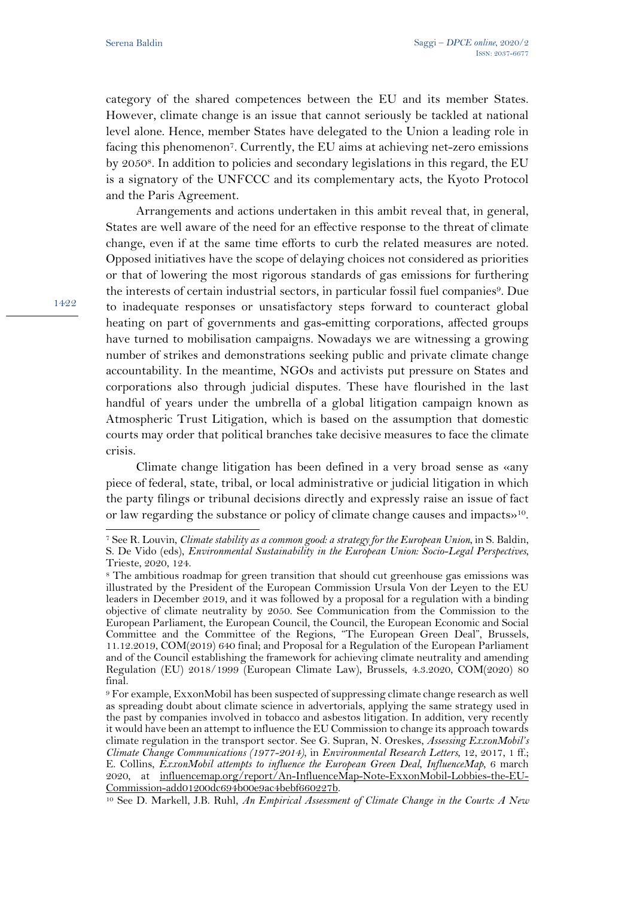category of the shared competences between the EU and its member States. However, climate change is an issue that cannot seriously be tackled at national level alone. Hence, member States have delegated to the Union a leading role in facing this phenomenon7. Currently, the EU aims at achieving net-zero emissions by 20508. In addition to policies and secondary legislations in this regard, the EU is a signatory of the UNFCCC and its complementary acts, the Kyoto Protocol and the Paris Agreement.

Arrangements and actions undertaken in this ambit reveal that, in general, States are well aware of the need for an effective response to the threat of climate change, even if at the same time efforts to curb the related measures are noted. Opposed initiatives have the scope of delaying choices not considered as priorities or that of lowering the most rigorous standards of gas emissions for furthering the interests of certain industrial sectors, in particular fossil fuel companies<sup>9</sup>. Due to inadequate responses or unsatisfactory steps forward to counteract global heating on part of governments and gas-emitting corporations, affected groups have turned to mobilisation campaigns. Nowadays we are witnessing a growing number of strikes and demonstrations seeking public and private climate change accountability. In the meantime, NGOs and activists put pressure on States and corporations also through judicial disputes. These have flourished in the last handful of years under the umbrella of a global litigation campaign known as Atmospheric Trust Litigation, which is based on the assumption that domestic courts may order that political branches take decisive measures to face the climate crisis.

Climate change litigation has been defined in a very broad sense as «any piece of federal, state, tribal, or local administrative or judicial litigation in which the party filings or tribunal decisions directly and expressly raise an issue of fact or law regarding the substance or policy of climate change causes and impacts»10.

<sup>7</sup> See R. Louvin, *Climate stability as a common good: a strategy for the European Union*, in S. Baldin, S. De Vido (eds), *Environmental Sustainability in the European Union: Socio-Legal Perspectives*, Trieste, 2020, 124.

<sup>&</sup>lt;sup>8</sup> The ambitious roadmap for green transition that should cut greenhouse gas emissions was illustrated by the President of the European Commission Ursula Von der Leyen to the EU leaders in December 2019, and it was followed by a proposal for a regulation with a binding objective of climate neutrality by 2050. See Communication from the Commission to the European Parliament, the European Council, the Council, the European Economic and Social Committee and the Committee of the Regions, "The European Green Deal", Brussels, 11.12.2019, COM(2019) 640 final; and Proposal for a Regulation of the European Parliament and of the Council establishing the framework for achieving climate neutrality and amending Regulation (EU) 2018/1999 (European Climate Law), Brussels, 4.3.2020, COM(2020) 80 final.

<sup>9</sup> For example, ExxonMobil has been suspected of suppressing climate change research as well as spreading doubt about climate science in advertorials, applying the same strategy used in the past by companies involved in tobacco and asbestos litigation. In addition, very recently it would have been an attempt to influence the EU Commission to change its approach towards climate regulation in the transport sector. See G. Supran, N. Oreskes, *Assessing ExxonMobil's Climate Change Communications (1977-2014)*, in *Environmental Research Letters*, 12, 2017, 1 ff.; E. Collins, *ExxonMobil attempts to influence the European Green Deal*, *InfluenceMap*, 6 march 2020, at influencemap.org/report/An-InfluenceMap-Note-ExxonMobil-Lobbies-the-EU-Commission-add01200dc694b00e9ac4bebf660227b.

<sup>10</sup> See D. Markell, J.B. Ruhl, *An Empirical Assessment of Climate Change in the Courts: A New*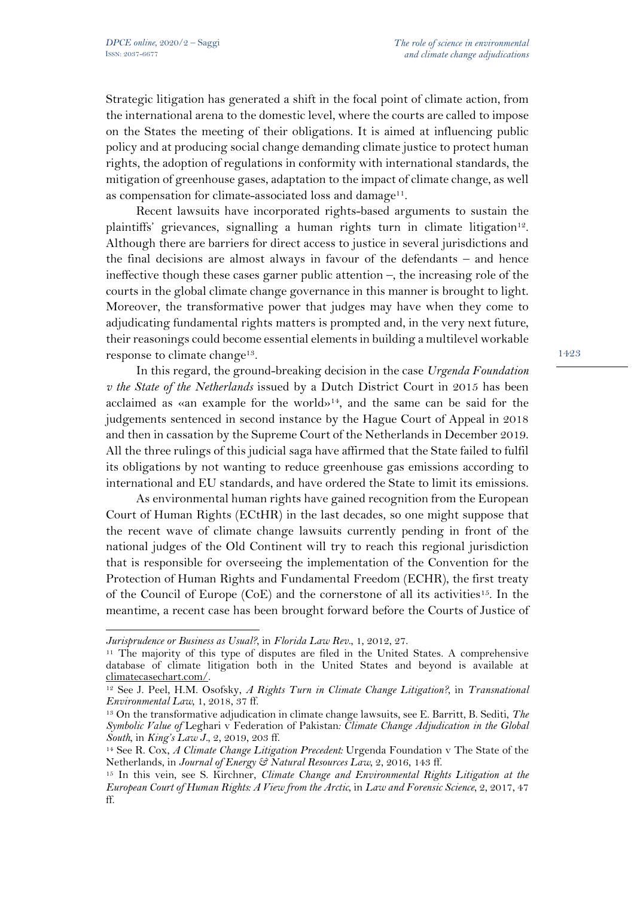Strategic litigation has generated a shift in the focal point of climate action, from the international arena to the domestic level, where the courts are called to impose on the States the meeting of their obligations. It is aimed at influencing public policy and at producing social change demanding climate justice to protect human rights, the adoption of regulations in conformity with international standards, the mitigation of greenhouse gases, adaptation to the impact of climate change, as well as compensation for climate-associated loss and damage<sup>11</sup>.

Recent lawsuits have incorporated rights-based arguments to sustain the plaintiffs' grievances, signalling a human rights turn in climate litigation<sup>12</sup>. Although there are barriers for direct access to justice in several jurisdictions and the final decisions are almost always in favour of the defendants – and hence ineffective though these cases garner public attention –, the increasing role of the courts in the global climate change governance in this manner is brought to light. Moreover, the transformative power that judges may have when they come to adjudicating fundamental rights matters is prompted and, in the very next future, their reasonings could become essential elements in building a multilevel workable response to climate change<sup>13</sup>.

In this regard, the ground-breaking decision in the case *Urgenda Foundation v the State of the Netherlands* issued by a Dutch District Court in 2015 has been acclaimed as «an example for the world»<sup>14</sup>, and the same can be said for the judgements sentenced in second instance by the Hague Court of Appeal in 2018 and then in cassation by the Supreme Court of the Netherlands in December 2019. All the three rulings of this judicial saga have affirmed that the State failed to fulfil its obligations by not wanting to reduce greenhouse gas emissions according to international and EU standards, and have ordered the State to limit its emissions.

As environmental human rights have gained recognition from the European Court of Human Rights (ECtHR) in the last decades, so one might suppose that the recent wave of climate change lawsuits currently pending in front of the national judges of the Old Continent will try to reach this regional jurisdiction that is responsible for overseeing the implementation of the Convention for the Protection of Human Rights and Fundamental Freedom (ECHR), the first treaty of the Council of Europe  $(CoE)$  and the cornerstone of all its activities<sup>15</sup>. In the meantime, a recent case has been brought forward before the Courts of Justice of

*Jurisprudence or Business as Usual?*, in *Florida Law Rev.*, 1, 2012, 27.

<sup>11</sup> The majority of this type of disputes are filed in the United States. A comprehensive database of climate litigation both in the United States and beyond is available at climatecasechart.com/.

<sup>12</sup> See J. Peel, H.M. Osofsky, *A Rights Turn in Climate Change Litigation?*, in *Transnational Environmental Law*, 1, 2018, 37 ff.

<sup>13</sup> On the transformative adjudication in climate change lawsuits, see E. Barritt, B. Sediti, *The Symbolic Value of* Leghari v Federation of Pakistan*: Climate Change Adjudication in the Global South*, in *King's Law J.*, 2, 2019, 203 ff.

<sup>14</sup> See R. Cox, *A Climate Change Litigation Precedent:* Urgenda Foundation v The State of the Netherlands, in *Journal of Energy & Natural Resources Law*, 2, 2016, 143 ff.

<sup>15</sup> In this vein, see S. Kirchner, *Climate Change and Environmental Rights Litigation at the European Court of Human Rights: A View from the Arctic*, in *Law and Forensic Science*, 2, 2017, 47 ff.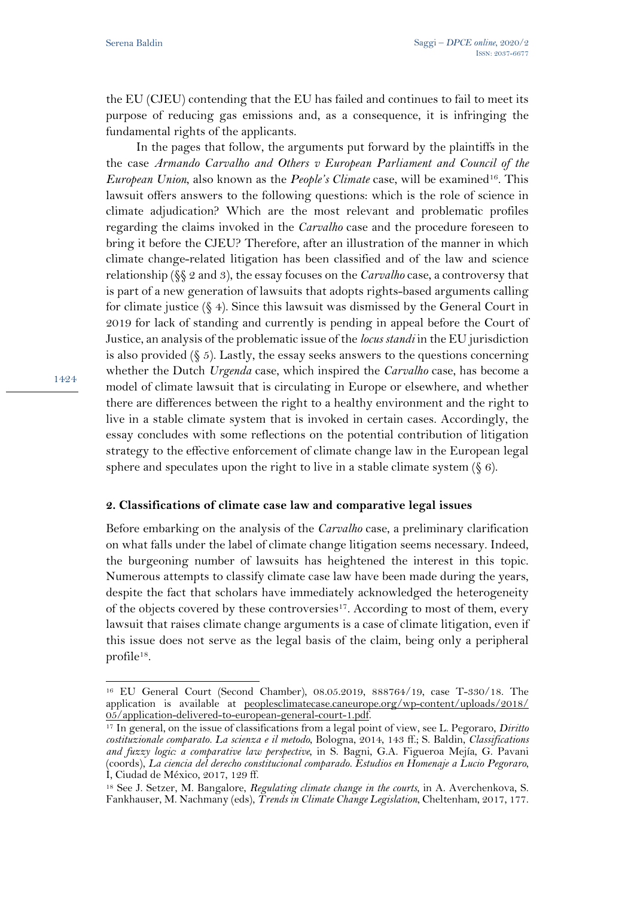the EU (CJEU) contending that the EU has failed and continues to fail to meet its purpose of reducing gas emissions and, as a consequence, it is infringing the fundamental rights of the applicants.

In the pages that follow, the arguments put forward by the plaintiffs in the the case *Armando Carvalho and Others v European Parliament and Council of the European Union*, also known as the *People's Climate* case, will be examined<sup>16</sup>. This lawsuit offers answers to the following questions: which is the role of science in climate adjudication? Which are the most relevant and problematic profiles regarding the claims invoked in the *Carvalho* case and the procedure foreseen to bring it before the CJEU? Therefore, after an illustration of the manner in which climate change-related litigation has been classified and of the law and science relationship (§§ 2 and 3), the essay focuses on the *Carvalho* case, a controversy that is part of a new generation of lawsuits that adopts rights-based arguments calling for climate justice  $(\S 4)$ . Since this lawsuit was dismissed by the General Court in 2019 for lack of standing and currently is pending in appeal before the Court of Justice, an analysis of the problematic issue of the *locus standi* in the EU jurisdiction is also provided  $(\xi 5)$ . Lastly, the essay seeks answers to the questions concerning whether the Dutch *Urgenda* case, which inspired the *Carvalho* case, has become a model of climate lawsuit that is circulating in Europe or elsewhere, and whether there are differences between the right to a healthy environment and the right to live in a stable climate system that is invoked in certain cases. Accordingly, the essay concludes with some reflections on the potential contribution of litigation strategy to the effective enforcement of climate change law in the European legal sphere and speculates upon the right to live in a stable climate system  $(\S 6)$ .

## **2. Classifications of climate case law and comparative legal issues**

Before embarking on the analysis of the *Carvalho* case, a preliminary clarification on what falls under the label of climate change litigation seems necessary. Indeed, the burgeoning number of lawsuits has heightened the interest in this topic. Numerous attempts to classify climate case law have been made during the years, despite the fact that scholars have immediately acknowledged the heterogeneity of the objects covered by these controversies17. According to most of them, every lawsuit that raises climate change arguments is a case of climate litigation, even if this issue does not serve as the legal basis of the claim, being only a peripheral profile<sup>18</sup>.

<sup>16</sup> EU General Court (Second Chamber), 08.05.2019, 888764/19, case T-330/18. The application is available at peoplesclimatecase.caneurope.org/wp-content/uploads/2018/ 05/application-delivered-to-european-general-court-1.pdf.

<sup>17</sup> In general, on the issue of classifications from a legal point of view, see L. Pegoraro, *Diritto costituzionale comparato. La scienza e il metodo*, Bologna, 2014, 143 ff.; S. Baldin, *Classifications and fuzzy logic: a comparative law perspective*, in S. Bagni, G.A. Figueroa Mejía, G. Pavani (coords), *La ciencia del derecho constitucional comparado. Estudios en Homenaje a Lucio Pegoraro*, I, Ciudad de México, 2017, 129 ff.

<sup>18</sup> See J. Setzer, M. Bangalore, *Regulating climate change in the courts*, in A. Averchenkova, S. Fankhauser, M. Nachmany (eds), *Trends in Climate Change Legislation*, Cheltenham, 2017, 177.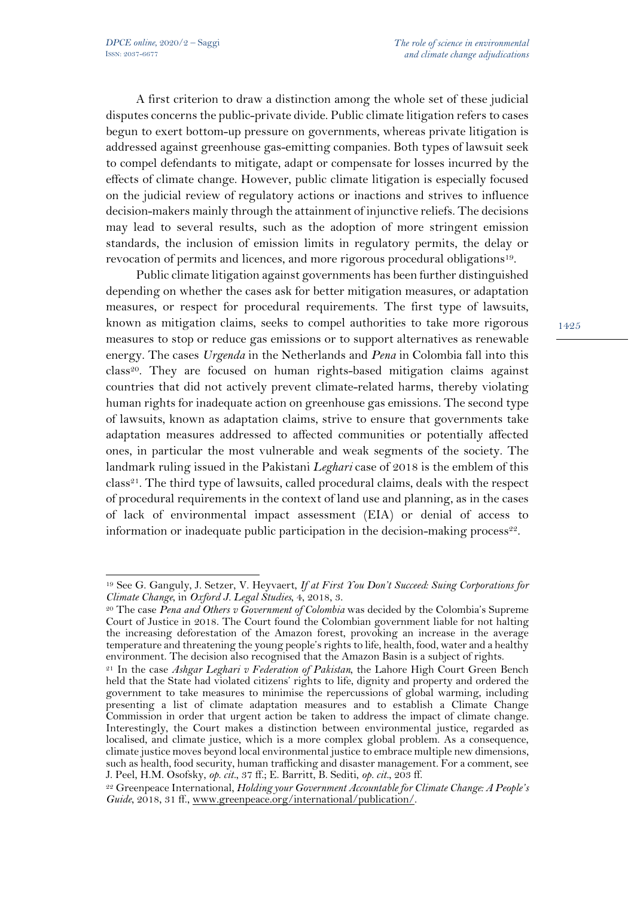A first criterion to draw a distinction among the whole set of these judicial disputes concerns the public-private divide. Public climate litigation refers to cases begun to exert bottom-up pressure on governments, whereas private litigation is addressed against greenhouse gas-emitting companies. Both types of lawsuit seek to compel defendants to mitigate, adapt or compensate for losses incurred by the effects of climate change. However, public climate litigation is especially focused on the judicial review of regulatory actions or inactions and strives to influence decision-makers mainly through the attainment of injunctive reliefs. The decisions may lead to several results, such as the adoption of more stringent emission standards, the inclusion of emission limits in regulatory permits, the delay or revocation of permits and licences, and more rigorous procedural obligations19.

Public climate litigation against governments has been further distinguished depending on whether the cases ask for better mitigation measures, or adaptation measures, or respect for procedural requirements. The first type of lawsuits, known as mitigation claims, seeks to compel authorities to take more rigorous measures to stop or reduce gas emissions or to support alternatives as renewable energy. The cases *Urgenda* in the Netherlands and *Pena* in Colombia fall into this  $class<sup>20</sup>$ . They are focused on human rights-based mitigation claims against countries that did not actively prevent climate-related harms, thereby violating human rights for inadequate action on greenhouse gas emissions. The second type of lawsuits, known as adaptation claims, strive to ensure that governments take adaptation measures addressed to affected communities or potentially affected ones, in particular the most vulnerable and weak segments of the society. The landmark ruling issued in the Pakistani *Leghari* case of 2018 is the emblem of this class21. The third type of lawsuits, called procedural claims, deals with the respect of procedural requirements in the context of land use and planning, as in the cases of lack of environmental impact assessment (EIA) or denial of access to information or inadequate public participation in the decision-making process<sup>22</sup>.

<sup>19</sup> See G. Ganguly, J. Setzer, V. Heyvaert, *If at First You Don't Succeed: Suing Corporations for Climate Change*, in *Oxford J. Legal Studies*, 4, 2018, 3.

<sup>20</sup> The case *Pena and Others v Government of Colombia* was decided by the Colombia's Supreme Court of Justice in 2018. The Court found the Colombian government liable for not halting the increasing deforestation of the Amazon forest, provoking an increase in the average temperature and threatening the young people's rights to life, health, food, water and a healthy environment. The decision also recognised that the Amazon Basin is a subject of rights.

<sup>21</sup> In the case *Ashgar Leghari v Federation of Pakistan*, the Lahore High Court Green Bench held that the State had violated citizens' rights to life, dignity and property and ordered the government to take measures to minimise the repercussions of global warming, including presenting a list of climate adaptation measures and to establish a Climate Change Commission in order that urgent action be taken to address the impact of climate change. Interestingly, the Court makes a distinction between environmental justice, regarded as localised, and climate justice, which is a more complex global problem. As a consequence, climate justice moves beyond local environmental justice to embrace multiple new dimensions, such as health, food security, human trafficking and disaster management. For a comment, see J. Peel, H.M. Osofsky, *op. cit.*, 37 ff.; E. Barritt, B. Sediti, *op. cit.*, 203 ff.

<sup>22</sup> Greenpeace International, *Holding your Government Accountable for Climate Change: A People's Guide*, 2018, 31 ff., www.greenpeace.org/international/publication/.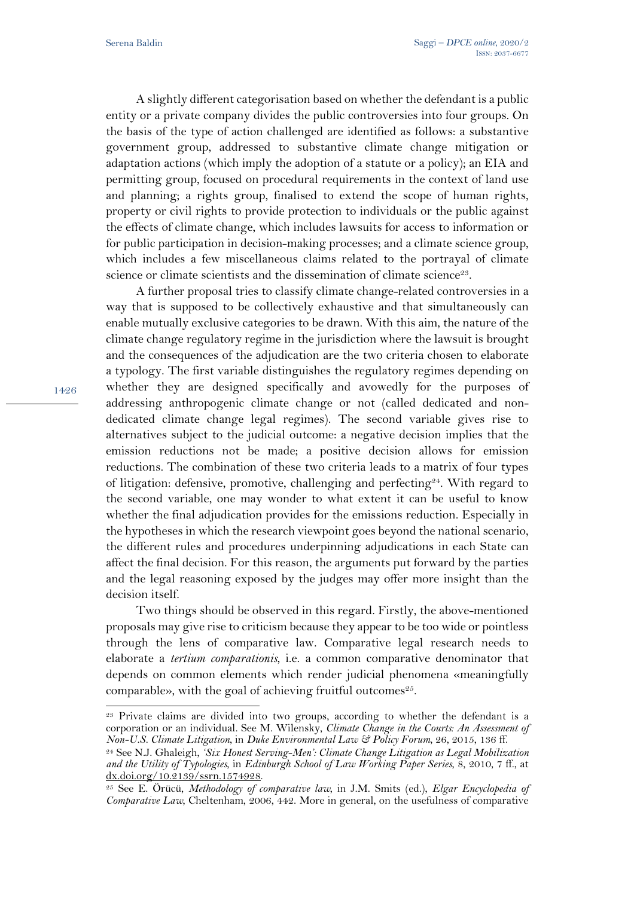A slightly different categorisation based on whether the defendant is a public entity or a private company divides the public controversies into four groups. On the basis of the type of action challenged are identified as follows: a substantive government group, addressed to substantive climate change mitigation or adaptation actions (which imply the adoption of a statute or a policy); an EIA and permitting group, focused on procedural requirements in the context of land use and planning; a rights group, finalised to extend the scope of human rights, property or civil rights to provide protection to individuals or the public against the effects of climate change, which includes lawsuits for access to information or for public participation in decision-making processes; and a climate science group, which includes a few miscellaneous claims related to the portrayal of climate science or climate scientists and the dissemination of climate science<sup>23</sup>.

A further proposal tries to classify climate change-related controversies in a way that is supposed to be collectively exhaustive and that simultaneously can enable mutually exclusive categories to be drawn. With this aim, the nature of the climate change regulatory regime in the jurisdiction where the lawsuit is brought and the consequences of the adjudication are the two criteria chosen to elaborate a typology. The first variable distinguishes the regulatory regimes depending on whether they are designed specifically and avowedly for the purposes of addressing anthropogenic climate change or not (called dedicated and nondedicated climate change legal regimes). The second variable gives rise to alternatives subject to the judicial outcome: a negative decision implies that the emission reductions not be made; a positive decision allows for emission reductions. The combination of these two criteria leads to a matrix of four types of litigation: defensive, promotive, challenging and perfecting<sup>24</sup>. With regard to the second variable, one may wonder to what extent it can be useful to know whether the final adjudication provides for the emissions reduction. Especially in the hypotheses in which the research viewpoint goes beyond the national scenario, the different rules and procedures underpinning adjudications in each State can affect the final decision. For this reason, the arguments put forward by the parties and the legal reasoning exposed by the judges may offer more insight than the decision itself.

Two things should be observed in this regard. Firstly, the above-mentioned proposals may give rise to criticism because they appear to be too wide or pointless through the lens of comparative law. Comparative legal research needs to elaborate a *tertium comparationis*, i.e. a common comparative denominator that depends on common elements which render judicial phenomena «meaningfully comparable», with the goal of achieving fruitful outcomes<sup>25</sup>.

<sup>&</sup>lt;sup>23</sup> Private claims are divided into two groups, according to whether the defendant is a corporation or an individual. See M. Wilensky, *Climate Change in the Courts: An Assessment of Non-U.S. Climate Litigation*, in *Duke Environmental Law & Policy Forum*, 26, 2015, 136 ff.

<sup>24</sup> See N.J. Ghaleigh, *'Six Honest Serving-Men': Climate Change Litigation as Legal Mobilization and the Utility of Typologies*, in *Edinburgh School of Law Working Paper Series*, 8, 2010, 7 ff., at dx.doi.org/10.2139/ssrn.1574928.

<sup>25</sup> See E. Örücü, *Methodology of comparative law*, in J.M. Smits (ed.), *Elgar Encyclopedia of Comparative Law*, Cheltenham, 2006, 442. More in general, on the usefulness of comparative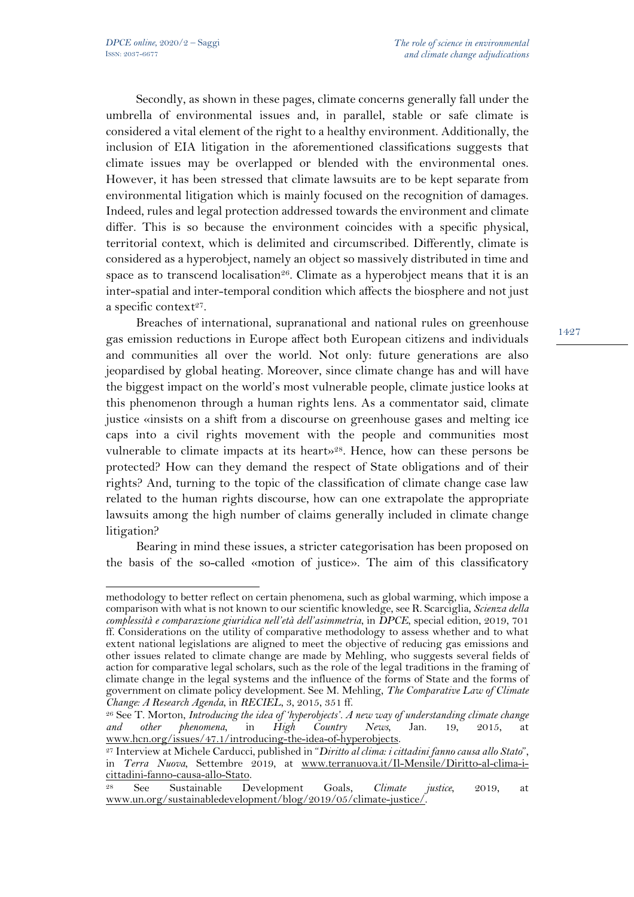Secondly, as shown in these pages, climate concerns generally fall under the umbrella of environmental issues and, in parallel, stable or safe climate is considered a vital element of the right to a healthy environment. Additionally, the inclusion of EIA litigation in the aforementioned classifications suggests that climate issues may be overlapped or blended with the environmental ones. However, it has been stressed that climate lawsuits are to be kept separate from environmental litigation which is mainly focused on the recognition of damages. Indeed, rules and legal protection addressed towards the environment and climate differ. This is so because the environment coincides with a specific physical, territorial context, which is delimited and circumscribed. Differently, climate is considered as a hyperobject, namely an object so massively distributed in time and space as to transcend localisation<sup>26</sup>. Climate as a hyperobject means that it is an inter-spatial and inter-temporal condition which affects the biosphere and not just a specific context $2^7$ .

Breaches of international, supranational and national rules on greenhouse gas emission reductions in Europe affect both European citizens and individuals and communities all over the world. Not only: future generations are also jeopardised by global heating. Moreover, since climate change has and will have the biggest impact on the world's most vulnerable people, climate justice looks at this phenomenon through a human rights lens. As a commentator said, climate justice «insists on a shift from a discourse on greenhouse gases and melting ice caps into a civil rights movement with the people and communities most vulnerable to climate impacts at its heart»28. Hence, how can these persons be protected? How can they demand the respect of State obligations and of their rights? And, turning to the topic of the classification of climate change case law related to the human rights discourse, how can one extrapolate the appropriate lawsuits among the high number of claims generally included in climate change litigation?

Bearing in mind these issues, a stricter categorisation has been proposed on the basis of the so-called «motion of justice». The aim of this classificatory

methodology to better reflect on certain phenomena, such as global warming, which impose a comparison with what is not known to our scientific knowledge, see R. Scarciglia, *Scienza della complessità e comparazione giuridica nell'età dell'asimmetria*, in *DPCE*, special edition, 2019, 701 ff. Considerations on the utility of comparative methodology to assess whether and to what extent national legislations are aligned to meet the objective of reducing gas emissions and other issues related to climate change are made by Mehling, who suggests several fields of action for comparative legal scholars, such as the role of the legal traditions in the framing of climate change in the legal systems and the influence of the forms of State and the forms of government on climate policy development. See M. Mehling, *The Comparative Law of Climate Change: A Research Agenda*, in *RECIEL*, 3, 2015, 351 ff.

<sup>&</sup>lt;sup>26</sup> See T. Morton, *Introducing the idea of 'hyperobjects'. A new way of understanding climate change and other phenomena, in High Country News, Jan. 19, 2015, at and other phenomena*, in *High Country News*, Jan. 19, 2015, at www.hcn.org/issues/47.1/introducing-the-idea-of-hyperobjects.

<sup>27</sup> Interview at Michele Carducci, published in "*Diritto al clima: i cittadini fanno causa allo Stato*", in *Terra Nuova*, Settembre 2019, at www.terranuova.it/Il-Mensile/Diritto-al-clima-icittadini-fanno-causa-allo-Stato.

<sup>28</sup> See Sustainable Development Goals, *Climate justice*, 2019, at www.un.org/sustainabledevelopment/blog/2019/05/climate-justice/.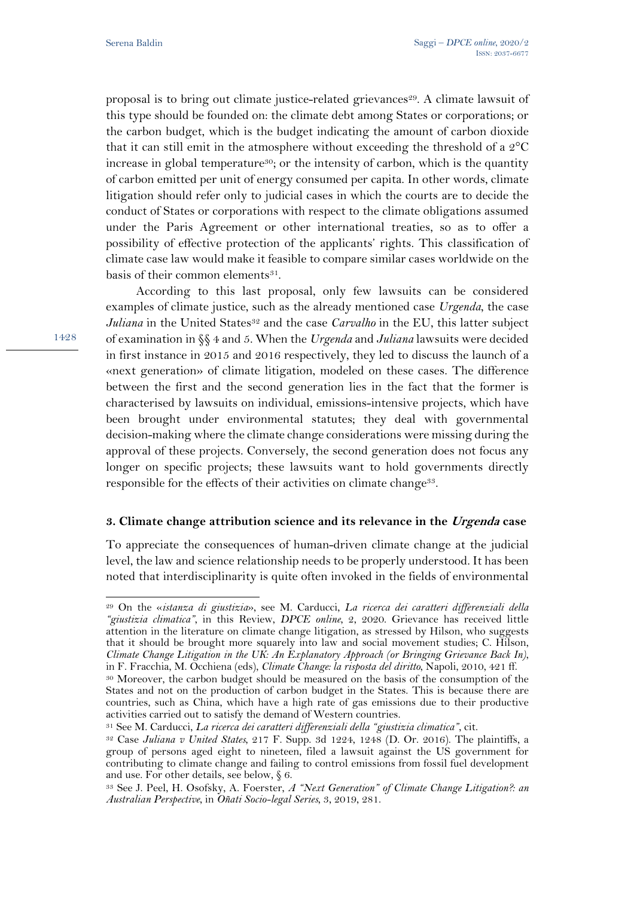proposal is to bring out climate justice-related grievances<sup>29</sup>. A climate lawsuit of this type should be founded on: the climate debt among States or corporations; or the carbon budget, which is the budget indicating the amount of carbon dioxide that it can still emit in the atmosphere without exceeding the threshold of a 2°C increase in global temperature<sup>30</sup>; or the intensity of carbon, which is the quantity of carbon emitted per unit of energy consumed per capita. In other words, climate litigation should refer only to judicial cases in which the courts are to decide the conduct of States or corporations with respect to the climate obligations assumed under the Paris Agreement or other international treaties, so as to offer a possibility of effective protection of the applicants' rights. This classification of climate case law would make it feasible to compare similar cases worldwide on the basis of their common elements<sup>31</sup>.

According to this last proposal, only few lawsuits can be considered examples of climate justice, such as the already mentioned case *Urgenda*, the case *Juliana* in the United States<sup>32</sup> and the case *Carvalho* in the EU, this latter subject of examination in §§ 4 and 5. When the *Urgenda* and *Juliana* lawsuits were decided in first instance in 2015 and 2016 respectively, they led to discuss the launch of a «next generation» of climate litigation, modeled on these cases. The difference between the first and the second generation lies in the fact that the former is characterised by lawsuits on individual, emissions-intensive projects, which have been brought under environmental statutes; they deal with governmental decision-making where the climate change considerations were missing during the approval of these projects. Conversely, the second generation does not focus any longer on specific projects; these lawsuits want to hold governments directly responsible for the effects of their activities on climate change<sup>33</sup>.

## **3. Climate change attribution science and its relevance in the Urgenda case**

To appreciate the consequences of human-driven climate change at the judicial level, the law and science relationship needs to be properly understood. It has been noted that interdisciplinarity is quite often invoked in the fields of environmental

<sup>29</sup> On the «*istanza di giustizia*», see M. Carducci, *La ricerca dei caratteri differenziali della "giustizia climatica"*, in this Review, *DPCE online*, 2, 2020. Grievance has received little attention in the literature on climate change litigation, as stressed by Hilson, who suggests that it should be brought more squarely into law and social movement studies; C. Hilson, *Climate Change Litigation in the UK: An Explanatory Approach (or Bringing Grievance Back In)*, in F. Fracchia, M. Occhiena (eds), *Climate Change: la risposta del diritto*, Napoli, 2010, 421 ff.

<sup>30</sup> Moreover, the carbon budget should be measured on the basis of the consumption of the States and not on the production of carbon budget in the States. This is because there are countries, such as China, which have a high rate of gas emissions due to their productive activities carried out to satisfy the demand of Western countries.

<sup>31</sup> See M. Carducci, *La ricerca dei caratteri differenziali della "giustizia climatica"*, cit.

<sup>32</sup> Case *Juliana v United States*, 217 F. Supp. 3d 1224, 1248 (D. Or. 2016). The plaintiffs, a group of persons aged eight to nineteen, filed a lawsuit against the US government for contributing to climate change and failing to control emissions from fossil fuel development and use. For other details, see below,  $\S$  6.

<sup>33</sup> See J. Peel, H. Osofsky, A. Foerster, *A "Next Generation" of Climate Change Litigation?: an Australian Perspective*, in *Oñati Socio-legal Series*, 3, 2019, 281.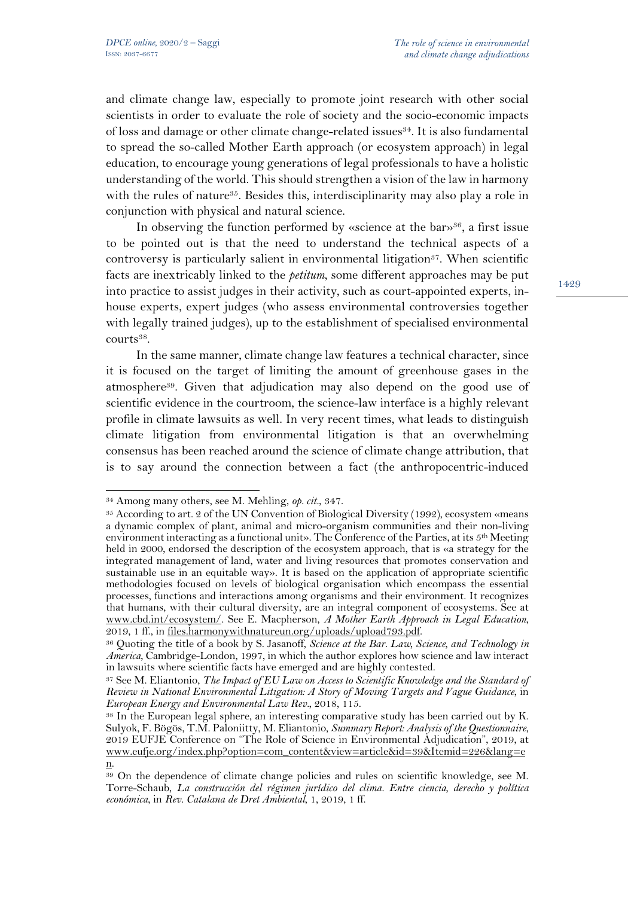and climate change law, especially to promote joint research with other social scientists in order to evaluate the role of society and the socio-economic impacts of loss and damage or other climate change-related issues<sup>34</sup>. It is also fundamental to spread the so-called Mother Earth approach (or ecosystem approach) in legal education, to encourage young generations of legal professionals to have a holistic understanding of the world. This should strengthen a vision of the law in harmony with the rules of nature<sup>35</sup>. Besides this, interdisciplinarity may also play a role in conjunction with physical and natural science.

In observing the function performed by «science at the bar»<sup>36</sup>, a first issue to be pointed out is that the need to understand the technical aspects of a controversy is particularly salient in environmental litigation<sup>37</sup>. When scientific facts are inextricably linked to the *petitum*, some different approaches may be put into practice to assist judges in their activity, such as court-appointed experts, inhouse experts, expert judges (who assess environmental controversies together with legally trained judges), up to the establishment of specialised environmental courts<sup>38</sup>.

In the same manner, climate change law features a technical character, since it is focused on the target of limiting the amount of greenhouse gases in the atmosphere39. Given that adjudication may also depend on the good use of scientific evidence in the courtroom, the science-law interface is a highly relevant profile in climate lawsuits as well. In very recent times, what leads to distinguish climate litigation from environmental litigation is that an overwhelming consensus has been reached around the science of climate change attribution, that is to say around the connection between a fact (the anthropocentric-induced

<sup>34</sup> Among many others, see M. Mehling, *op. cit.*, 347.

<sup>35</sup> According to art. 2 of the UN Convention of Biological Diversity (1992), ecosystem «means a dynamic complex of plant, animal and micro-organism communities and their non-living environment interacting as a functional unit». The Conference of the Parties, at its 5<sup>th</sup> Meeting held in 2000, endorsed the description of the ecosystem approach, that is «a strategy for the integrated management of land, water and living resources that promotes conservation and sustainable use in an equitable way». It is based on the application of appropriate scientific methodologies focused on levels of biological organisation which encompass the essential processes, functions and interactions among organisms and their environment. It recognizes that humans, with their cultural diversity, are an integral component of ecosystems. See at www.cbd.int/ecosystem/. See E. Macpherson, *A Mother Earth Approach in Legal Education*, 2019, 1 ff., in files.harmonywithnatureun.org/uploads/upload793.pdf.

<sup>36</sup> Quoting the title of a book by S. Jasanoff, *Science at the Bar. Law, Science, and Technology in America*, Cambridge-London, 1997, in which the author explores how science and law interact in lawsuits where scientific facts have emerged and are highly contested.

<sup>37</sup> See M. Eliantonio, *The Impact of EU Law on Access to Scientific Knowledge and the Standard of Review in National Environmental Litigation: A Story of Moving Targets and Vague Guidance*, in *European Energy and Environmental Law Rev.*, 2018, 115.

<sup>38</sup> In the European legal sphere, an interesting comparative study has been carried out by K. Sulyok, F. Bögös, T.M. Paloniitty, M. Eliantonio, *Summary Report: Analysis of the Questionnaire*, 2019 EUFJE Conference on "The Role of Science in Environmental Adjudication", 2019, at www.eufje.org/index.php?option=com\_content&view=article&id=39&Itemid=226&lang=e

n.

<sup>39</sup> On the dependence of climate change policies and rules on scientific knowledge, see M. Torre-Schaub, *La construcción del régimen jurídico del clima. Entre ciencia, derecho y política económica*, in *Rev. Catalana de Dret Ambiental*, 1, 2019, 1 ff.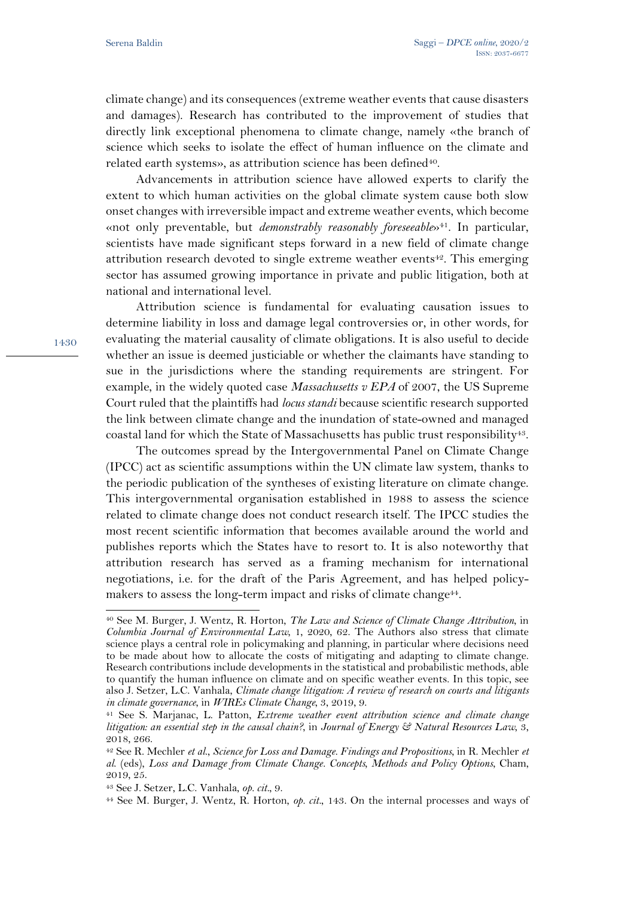climate change) and its consequences (extreme weather events that cause disasters and damages). Research has contributed to the improvement of studies that directly link exceptional phenomena to climate change, namely «the branch of science which seeks to isolate the effect of human influence on the climate and related earth systems», as attribution science has been defined<sup>40</sup>.

Advancements in attribution science have allowed experts to clarify the extent to which human activities on the global climate system cause both slow onset changes with irreversible impact and extreme weather events, which become «not only preventable, but *demonstrably reasonably foreseeable*»<sup>41</sup>. In particular, scientists have made significant steps forward in a new field of climate change attribution research devoted to single extreme weather events<sup>42</sup>. This emerging sector has assumed growing importance in private and public litigation, both at national and international level.

Attribution science is fundamental for evaluating causation issues to determine liability in loss and damage legal controversies or, in other words, for evaluating the material causality of climate obligations. It is also useful to decide whether an issue is deemed justiciable or whether the claimants have standing to sue in the jurisdictions where the standing requirements are stringent. For example, in the widely quoted case *Massachusetts v EPA* of 2007, the US Supreme Court ruled that the plaintiffs had *locus standi* because scientific research supported the link between climate change and the inundation of state-owned and managed coastal land for which the State of Massachusetts has public trust responsibility<sup>43</sup>.

The outcomes spread by the Intergovernmental Panel on Climate Change (IPCC) act as scientific assumptions within the UN climate law system, thanks to the periodic publication of the syntheses of existing literature on climate change. This intergovernmental organisation established in 1988 to assess the science related to climate change does not conduct research itself. The IPCC studies the most recent scientific information that becomes available around the world and publishes reports which the States have to resort to. It is also noteworthy that attribution research has served as a framing mechanism for international negotiations, i.e. for the draft of the Paris Agreement, and has helped policymakers to assess the long-term impact and risks of climate change<sup>44</sup>.

<sup>40</sup> See M. Burger, J. Wentz, R. Horton, *The Law and Science of Climate Change Attribution*, in *Columbia Journal of Environmental Law*, 1, 2020, 62. The Authors also stress that climate science plays a central role in policymaking and planning, in particular where decisions need to be made about how to allocate the costs of mitigating and adapting to climate change. Research contributions include developments in the statistical and probabilistic methods, able to quantify the human influence on climate and on specific weather events. In this topic, see also J. Setzer, L.C. Vanhala, *Climate change litigation: A review of research on courts and litigants in climate governance*, in *WIREs Climate Change*, 3, 2019, 9.

<sup>41</sup> See S. Marjanac, L. Patton, *Extreme weather event attribution science and climate change litigation: an essential step in the causal chain?*, in *Journal of Energy & Natural Resources Law*, 3, 2018, 266.

<sup>42</sup> See R. Mechler *et al*., *Science for Loss and Damage. Findings and Propositions*, in R. Mechler *et al*. (eds), *Loss and Damage from Climate Change. Concepts, Methods and Policy Options*, Cham, 2019, 25.

<sup>43</sup> See J. Setzer, L.C. Vanhala, *op. cit.*, 9.

<sup>44</sup> See M. Burger, J. Wentz, R. Horton, *op. cit.*, 143. On the internal processes and ways of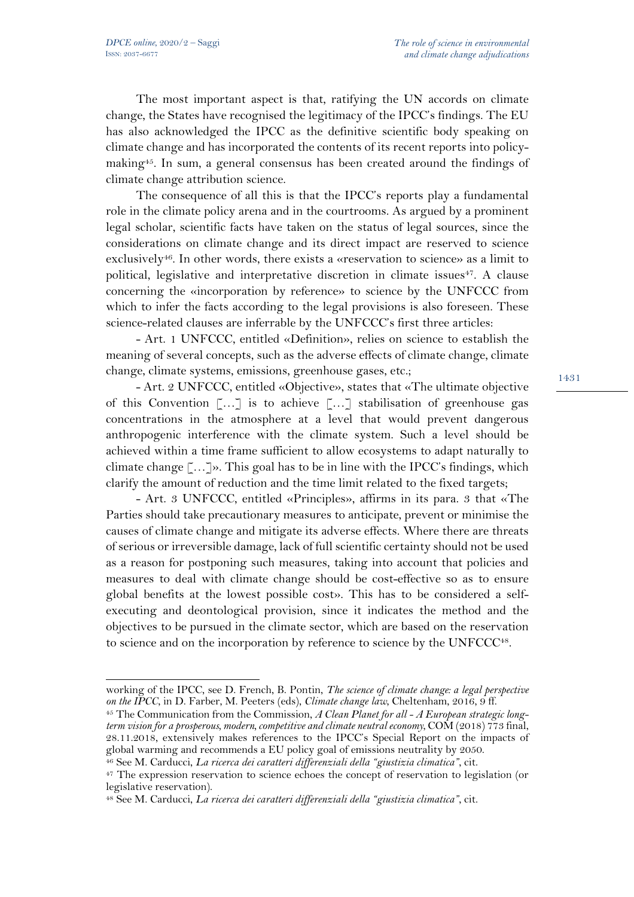The most important aspect is that, ratifying the UN accords on climate change, the States have recognised the legitimacy of the IPCC's findings. The EU has also acknowledged the IPCC as the definitive scientific body speaking on climate change and has incorporated the contents of its recent reports into policymaking<sup>45</sup>. In sum, a general consensus has been created around the findings of climate change attribution science.

The consequence of all this is that the IPCC's reports play a fundamental role in the climate policy arena and in the courtrooms. As argued by a prominent legal scholar, scientific facts have taken on the status of legal sources, since the considerations on climate change and its direct impact are reserved to science exclusively<sup>46</sup>. In other words, there exists a «reservation to science» as a limit to political, legislative and interpretative discretion in climate issues<sup>47</sup>. A clause concerning the «incorporation by reference» to science by the UNFCCC from which to infer the facts according to the legal provisions is also foreseen. These science-related clauses are inferrable by the UNFCCC's first three articles:

- Art. 1 UNFCCC, entitled «Definition», relies on science to establish the meaning of several concepts, such as the adverse effects of climate change, climate change, climate systems, emissions, greenhouse gases, etc.;

- Art. 2 UNFCCC, entitled «Objective», states that «The ultimate objective of this Convention […] is to achieve […] stabilisation of greenhouse gas concentrations in the atmosphere at a level that would prevent dangerous anthropogenic interference with the climate system. Such a level should be achieved within a time frame sufficient to allow ecosystems to adapt naturally to climate change  $\lceil \ldots \rceil$ ». This goal has to be in line with the IPCC's findings, which clarify the amount of reduction and the time limit related to the fixed targets;

- Art. 3 UNFCCC, entitled «Principles», affirms in its para. 3 that «The Parties should take precautionary measures to anticipate, prevent or minimise the causes of climate change and mitigate its adverse effects. Where there are threats of serious or irreversible damage, lack of full scientific certainty should not be used as a reason for postponing such measures, taking into account that policies and measures to deal with climate change should be cost-effective so as to ensure global benefits at the lowest possible cost». This has to be considered a selfexecuting and deontological provision, since it indicates the method and the objectives to be pursued in the climate sector, which are based on the reservation to science and on the incorporation by reference to science by the UNFCCC<sup>48</sup>.

working of the IPCC, see D. French, B. Pontin, *The science of climate change: a legal perspective on the IPCC*, in D. Farber, M. Peeters (eds), *Climate change law*, Cheltenham, 2016, 9 ff.

<sup>45</sup> The Communication from the Commission, *A Clean Planet for all - A European strategic longterm vision for a prosperous, modern, competitive and climate neutral economy*, COM (2018) 773 final, 28.11.2018, extensively makes references to the IPCC's Special Report on the impacts of global warming and recommends a EU policy goal of emissions neutrality by 2050.

<sup>46</sup> See M. Carducci, *La ricerca dei caratteri differenziali della "giustizia climatica"*, cit.

<sup>&</sup>lt;sup>47</sup> The expression reservation to science echoes the concept of reservation to legislation (or legislative reservation).

<sup>48</sup> See M. Carducci, *La ricerca dei caratteri differenziali della "giustizia climatica"*, cit.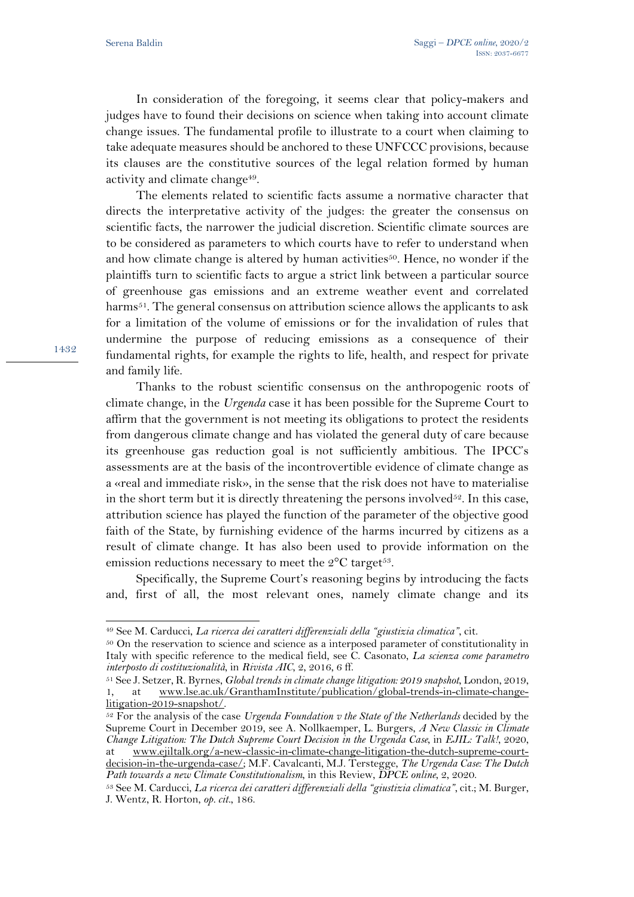In consideration of the foregoing, it seems clear that policy-makers and judges have to found their decisions on science when taking into account climate change issues. The fundamental profile to illustrate to a court when claiming to take adequate measures should be anchored to these UNFCCC provisions, because its clauses are the constitutive sources of the legal relation formed by human activity and climate change<sup>49</sup>.

The elements related to scientific facts assume a normative character that directs the interpretative activity of the judges: the greater the consensus on scientific facts, the narrower the judicial discretion. Scientific climate sources are to be considered as parameters to which courts have to refer to understand when and how climate change is altered by human activities<sup>50</sup>. Hence, no wonder if the plaintiffs turn to scientific facts to argue a strict link between a particular source of greenhouse gas emissions and an extreme weather event and correlated harms<sup>51</sup>. The general consensus on attribution science allows the applicants to ask for a limitation of the volume of emissions or for the invalidation of rules that undermine the purpose of reducing emissions as a consequence of their fundamental rights, for example the rights to life, health, and respect for private and family life.

Thanks to the robust scientific consensus on the anthropogenic roots of climate change, in the *Urgenda* case it has been possible for the Supreme Court to affirm that the government is not meeting its obligations to protect the residents from dangerous climate change and has violated the general duty of care because its greenhouse gas reduction goal is not sufficiently ambitious. The IPCC's assessments are at the basis of the incontrovertible evidence of climate change as a «real and immediate risk», in the sense that the risk does not have to materialise in the short term but it is directly threatening the persons involved<sup>52</sup>. In this case, attribution science has played the function of the parameter of the objective good faith of the State, by furnishing evidence of the harms incurred by citizens as a result of climate change. It has also been used to provide information on the emission reductions necessary to meet the  $2^{\circ}$ C target<sup>53</sup>.

Specifically, the Supreme Court's reasoning begins by introducing the facts and, first of all, the most relevant ones, namely climate change and its

<sup>49</sup> See M. Carducci, *La ricerca dei caratteri differenziali della "giustizia climatica"*, cit.

<sup>&</sup>lt;sup>50</sup> On the reservation to science and science as a interposed parameter of constitutionality in Italy with specific reference to the medical field, see C. Casonato, *La scienza come parametro interposto di costituzionalità*, in *Rivista AIC*, 2, 2016, 6 ff. 51 See J. Setzer, R. Byrnes, *Global trends in climate change litigation: 2019 snapshot*, London, 2019,

<sup>1,</sup> at www.lse.ac.uk/GranthamInstitute/publication/global-trends-in-climate-changelitigation-2019-snapshot/.

<sup>52</sup> For the analysis of the case *Urgenda Foundation v the State of the Netherlands* decided by the Supreme Court in December 2019, see A. Nollkaemper, L. Burgers, *A New Classic in Climate Change Litigation: The Dutch Supreme Court Decision in the Urgenda Case*, in *EJIL: Talk!*, 2020, at www.ejiltalk.org/a-new-classic-in-climate-change-litigation-the-dutch-supreme-courtdecision-in-the-urgenda-case/; M.F. Cavalcanti, M.J. Terstegge, *The Urgenda Case: The Dutch* 

*Path towards a new Climate Constitutionalism*, in this Review, *DPCE online*, 2, 2020. <sup>53</sup> See M. Carducci, *La ricerca dei caratteri differenziali della "giustizia climatica"*, cit.; M. Burger,

J. Wentz, R. Horton, *op. cit.*, 186.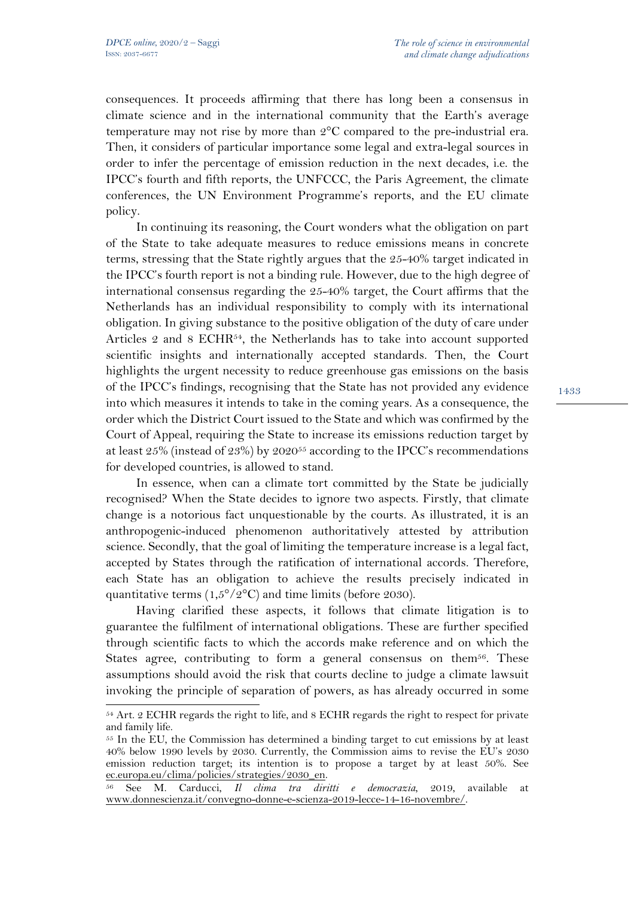consequences. It proceeds affirming that there has long been a consensus in climate science and in the international community that the Earth's average temperature may not rise by more than 2°C compared to the pre-industrial era. Then, it considers of particular importance some legal and extra-legal sources in order to infer the percentage of emission reduction in the next decades, i.e. the IPCC's fourth and fifth reports, the UNFCCC, the Paris Agreement, the climate conferences, the UN Environment Programme's reports, and the EU climate policy.

In continuing its reasoning, the Court wonders what the obligation on part of the State to take adequate measures to reduce emissions means in concrete terms, stressing that the State rightly argues that the 25-40% target indicated in the IPCC's fourth report is not a binding rule. However, due to the high degree of international consensus regarding the 25-40% target, the Court affirms that the Netherlands has an individual responsibility to comply with its international obligation. In giving substance to the positive obligation of the duty of care under Articles 2 and 8 ECHR<sup>54</sup>, the Netherlands has to take into account supported scientific insights and internationally accepted standards. Then, the Court highlights the urgent necessity to reduce greenhouse gas emissions on the basis of the IPCC's findings, recognising that the State has not provided any evidence into which measures it intends to take in the coming years. As a consequence, the order which the District Court issued to the State and which was confirmed by the Court of Appeal, requiring the State to increase its emissions reduction target by at least 25% (instead of 23%) by 202055 according to the IPCC's recommendations for developed countries, is allowed to stand.

In essence, when can a climate tort committed by the State be judicially recognised? When the State decides to ignore two aspects. Firstly, that climate change is a notorious fact unquestionable by the courts. As illustrated, it is an anthropogenic-induced phenomenon authoritatively attested by attribution science. Secondly, that the goal of limiting the temperature increase is a legal fact, accepted by States through the ratification of international accords. Therefore, each State has an obligation to achieve the results precisely indicated in quantitative terms (1,5°/2°C) and time limits (before 2030).

Having clarified these aspects, it follows that climate litigation is to guarantee the fulfilment of international obligations. These are further specified through scientific facts to which the accords make reference and on which the States agree, contributing to form a general consensus on them<sup>56</sup>. These assumptions should avoid the risk that courts decline to judge a climate lawsuit invoking the principle of separation of powers, as has already occurred in some

<sup>54</sup> Art. 2 ECHR regards the right to life, and 8 ECHR regards the right to respect for private and family life.

<sup>55</sup> In the EU, the Commission has determined a binding target to cut emissions by at least 40% below 1990 levels by 2030. Currently, the Commission aims to revise the EU's 2030 emission reduction target; its intention is to propose a target by at least 50%. See ec.europa.eu/clima/policies/strategies/2030\_en.<br>
<sup>56</sup> See M. Carducci. Il clima tra diri

<sup>56</sup> See M. Carducci, *Il clima tra diritti e democrazia*, 2019, available at www.donnescienza.it/convegno-donne-e-scienza-2019-lecce-14-16-novembre/.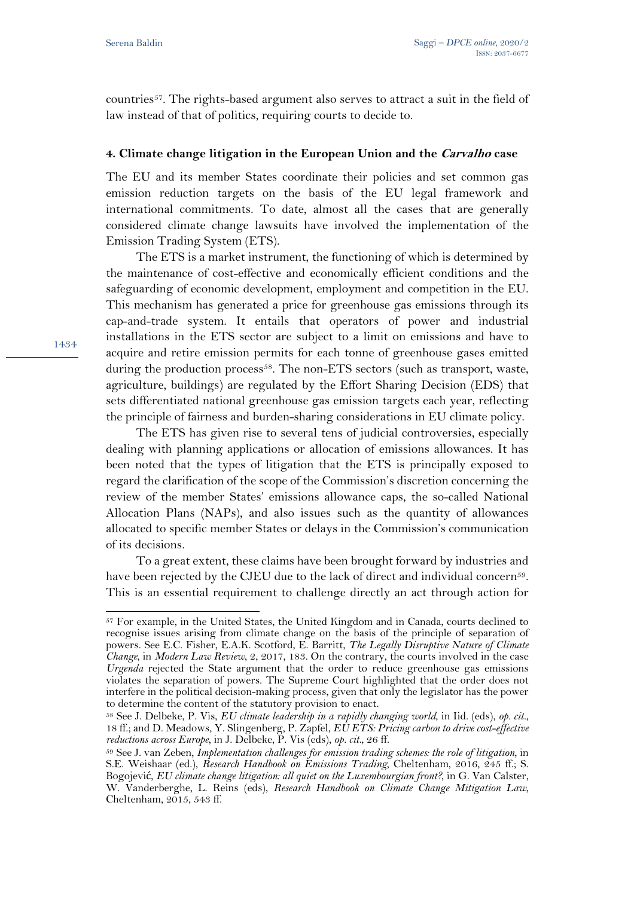countries57. The rights-based argument also serves to attract a suit in the field of law instead of that of politics, requiring courts to decide to.

## **4. Climate change litigation in the European Union and the Carvalho case**

The EU and its member States coordinate their policies and set common gas emission reduction targets on the basis of the EU legal framework and international commitments. To date, almost all the cases that are generally considered climate change lawsuits have involved the implementation of the Emission Trading System (ETS).

The ETS is a market instrument, the functioning of which is determined by the maintenance of cost-effective and economically efficient conditions and the safeguarding of economic development, employment and competition in the EU. This mechanism has generated a price for greenhouse gas emissions through its cap-and-trade system. It entails that operators of power and industrial installations in the ETS sector are subject to a limit on emissions and have to acquire and retire emission permits for each tonne of greenhouse gases emitted during the production process<sup>58</sup>. The non-ETS sectors (such as transport, waste, agriculture, buildings) are regulated by the Effort Sharing Decision (EDS) that sets differentiated national greenhouse gas emission targets each year, reflecting the principle of fairness and burden-sharing considerations in EU climate policy.

The ETS has given rise to several tens of judicial controversies, especially dealing with planning applications or allocation of emissions allowances. It has been noted that the types of litigation that the ETS is principally exposed to regard the clarification of the scope of the Commission's discretion concerning the review of the member States' emissions allowance caps, the so-called National Allocation Plans (NAPs), and also issues such as the quantity of allowances allocated to specific member States or delays in the Commission's communication of its decisions.

To a great extent, these claims have been brought forward by industries and have been rejected by the CJEU due to the lack of direct and individual concern<sup>59</sup>. This is an essential requirement to challenge directly an act through action for

<sup>57</sup> For example, in the United States, the United Kingdom and in Canada, courts declined to recognise issues arising from climate change on the basis of the principle of separation of powers. See E.C. Fisher, E.A.K. Scotford, E. Barritt, *The Legally Disruptive Nature of Climate Change*, in *Modern Law Review*, 2, 2017, 183. On the contrary, the courts involved in the case *Urgenda* rejected the State argument that the order to reduce greenhouse gas emissions violates the separation of powers. The Supreme Court highlighted that the order does not interfere in the political decision-making process, given that only the legislator has the power to determine the content of the statutory provision to enact.

<sup>58</sup> See J. Delbeke, P. Vis, *EU climate leadership in a rapidly changing world*, in Iid. (eds), *op. cit.*, 18 ff.; and D. Meadows, Y. Slingenberg, P. Zapfel, *EU ETS: Pricing carbon to drive cost-effective reductions across Europe*, in J. Delbeke, P. Vis (eds), *op. cit.*, 26 ff.

<sup>59</sup> See J. van Zeben, *Implementation challenges for emission trading schemes: the role of litigation*, in S.E. Weishaar (ed.), *Research Handbook on Emissions Trading*, Cheltenham, 2016, 245 ff.; S. Bogojević, *EU climate change litigation: all quiet on the Luxembourgian front?*, in G. Van Calster, W. Vanderberghe, L. Reins (eds), *Research Handbook on Climate Change Mitigation Law*, Cheltenham, 2015, 543 ff.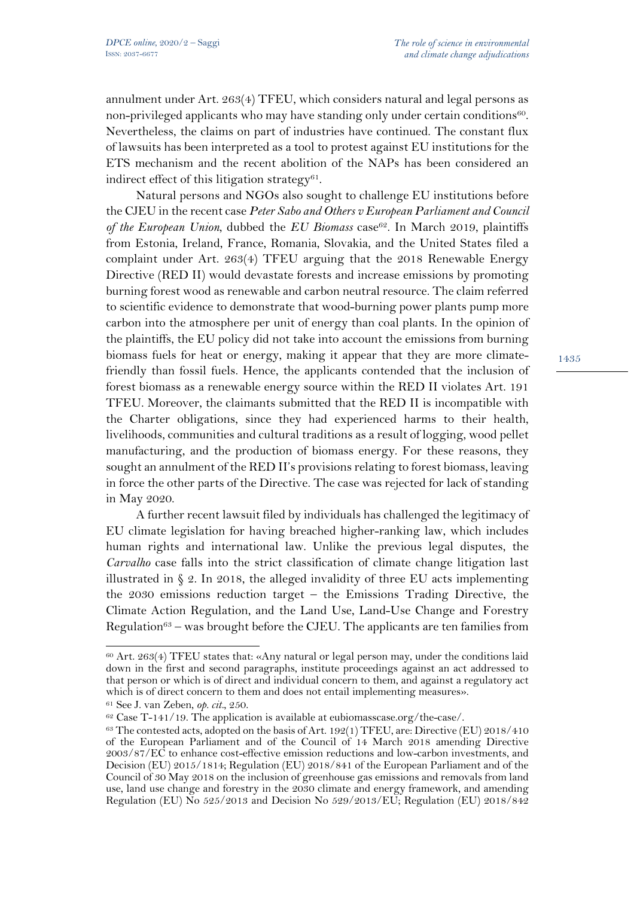annulment under Art. 263(4) TFEU, which considers natural and legal persons as non-privileged applicants who may have standing only under certain conditions<sup>60</sup>. Nevertheless, the claims on part of industries have continued. The constant flux of lawsuits has been interpreted as a tool to protest against EU institutions for the ETS mechanism and the recent abolition of the NAPs has been considered an indirect effect of this litigation strategy $61$ .

Natural persons and NGOs also sought to challenge EU institutions before the CJEU in the recent case *Peter Sabo and Others v European Parliament and Council of the European Union*, dubbed the *EU Biomass* case<sup>62</sup>. In March 2019, plaintiffs from Estonia, Ireland, France, Romania, Slovakia, and the United States filed a complaint under Art. 263(4) TFEU arguing that the 2018 Renewable Energy Directive (RED II) would devastate forests and increase emissions by promoting burning forest wood as renewable and carbon neutral resource. The claim referred to scientific evidence to demonstrate that wood-burning power plants pump more carbon into the atmosphere per unit of energy than coal plants. In the opinion of the plaintiffs, the EU policy did not take into account the emissions from burning biomass fuels for heat or energy, making it appear that they are more climatefriendly than fossil fuels. Hence, the applicants contended that the inclusion of forest biomass as a renewable energy source within the RED II violates Art. 191 TFEU. Moreover, the claimants submitted that the RED II is incompatible with the Charter obligations, since they had experienced harms to their health, livelihoods, communities and cultural traditions as a result of logging, wood pellet manufacturing, and the production of biomass energy. For these reasons, they sought an annulment of the RED II's provisions relating to forest biomass, leaving in force the other parts of the Directive. The case was rejected for lack of standing in May 2020.

A further recent lawsuit filed by individuals has challenged the legitimacy of EU climate legislation for having breached higher-ranking law, which includes human rights and international law. Unlike the previous legal disputes, the *Carvalho* case falls into the strict classification of climate change litigation last illustrated in  $\S 2$ . In 2018, the alleged invalidity of three EU acts implementing the 2030 emissions reduction target – the Emissions Trading Directive, the Climate Action Regulation, and the Land Use, Land-Use Change and Forestry Regulation<sup>63</sup> – was brought before the CJEU. The applicants are ten families from

<sup>60</sup> Art. 263(4) TFEU states that: «Any natural or legal person may, under the conditions laid down in the first and second paragraphs, institute proceedings against an act addressed to that person or which is of direct and individual concern to them, and against a regulatory act which is of direct concern to them and does not entail implementing measures».

<sup>61</sup> See J. van Zeben, *op. cit.*, 250.

<sup>62</sup> Case T-141/19. The application is available at eubiomasscase.org/the-case/.

 $63$  The contested acts, adopted on the basis of Art. 192(1) TFEU, are: Directive (EU) 2018/410 of the European Parliament and of the Council of 14 March 2018 amending Directive 2003/87/EC to enhance cost-effective emission reductions and low-carbon investments, and Decision (EU) 2015/1814; Regulation (EU) 2018/841 of the European Parliament and of the Council of 30 May 2018 on the inclusion of greenhouse gas emissions and removals from land use, land use change and forestry in the 2030 climate and energy framework, and amending Regulation (EU) No 525/2013 and Decision No 529/2013/EU; Regulation (EU) 2018/842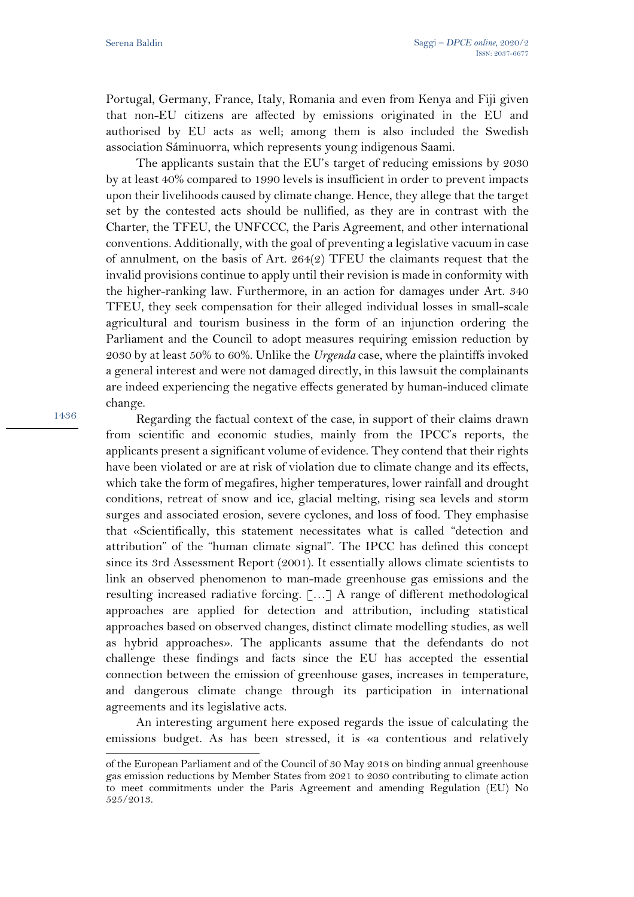Portugal, Germany, France, Italy, Romania and even from Kenya and Fiji given that non-EU citizens are affected by emissions originated in the EU and authorised by EU acts as well; among them is also included the Swedish association Sáminuorra, which represents young indigenous Saami.

The applicants sustain that the EU's target of reducing emissions by 2030 by at least 40% compared to 1990 levels is insufficient in order to prevent impacts upon their livelihoods caused by climate change. Hence, they allege that the target set by the contested acts should be nullified, as they are in contrast with the Charter, the TFEU, the UNFCCC, the Paris Agreement, and other international conventions. Additionally, with the goal of preventing a legislative vacuum in case of annulment, on the basis of Art. 264(2) TFEU the claimants request that the invalid provisions continue to apply until their revision is made in conformity with the higher-ranking law. Furthermore, in an action for damages under Art. 340 TFEU, they seek compensation for their alleged individual losses in small-scale agricultural and tourism business in the form of an injunction ordering the Parliament and the Council to adopt measures requiring emission reduction by 2030 by at least 50% to 60%. Unlike the *Urgenda* case, where the plaintiffs invoked a general interest and were not damaged directly, in this lawsuit the complainants are indeed experiencing the negative effects generated by human-induced climate change.

1436

Regarding the factual context of the case, in support of their claims drawn from scientific and economic studies, mainly from the IPCC's reports, the applicants present a significant volume of evidence. They contend that their rights have been violated or are at risk of violation due to climate change and its effects, which take the form of megafires, higher temperatures, lower rainfall and drought conditions, retreat of snow and ice, glacial melting, rising sea levels and storm surges and associated erosion, severe cyclones, and loss of food. They emphasise that «Scientifically, this statement necessitates what is called "detection and attribution" of the "human climate signal". The IPCC has defined this concept since its 3rd Assessment Report (2001). It essentially allows climate scientists to link an observed phenomenon to man-made greenhouse gas emissions and the resulting increased radiative forcing. […] A range of different methodological approaches are applied for detection and attribution, including statistical approaches based on observed changes, distinct climate modelling studies, as well as hybrid approaches». The applicants assume that the defendants do not challenge these findings and facts since the EU has accepted the essential connection between the emission of greenhouse gases, increases in temperature, and dangerous climate change through its participation in international agreements and its legislative acts.

An interesting argument here exposed regards the issue of calculating the emissions budget. As has been stressed, it is «a contentious and relatively

of the European Parliament and of the Council of 30 May 2018 on binding annual greenhouse gas emission reductions by Member States from 2021 to 2030 contributing to climate action to meet commitments under the Paris Agreement and amending Regulation (EU) No 525/2013.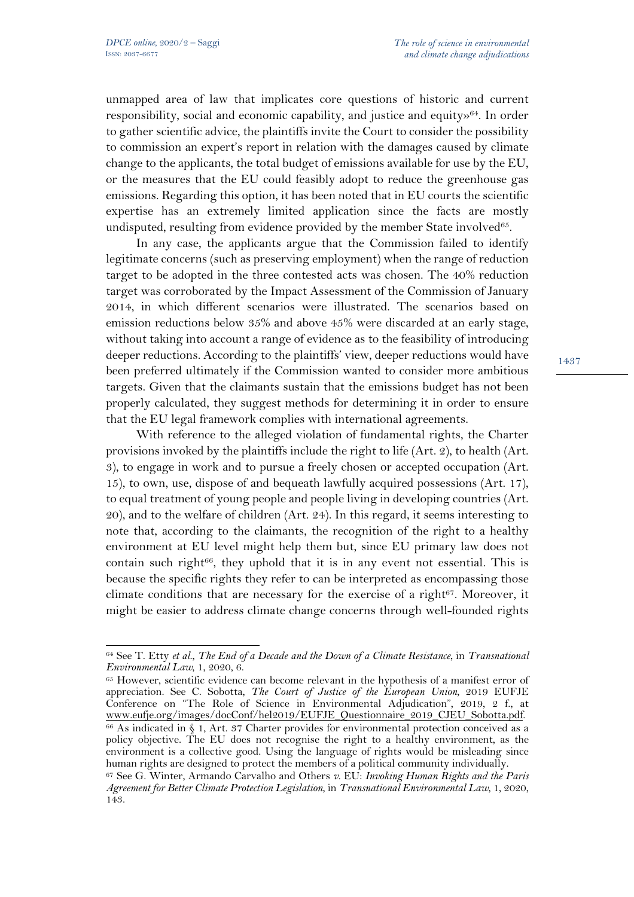unmapped area of law that implicates core questions of historic and current responsibility, social and economic capability, and justice and equity»64. In order to gather scientific advice, the plaintiffs invite the Court to consider the possibility to commission an expert's report in relation with the damages caused by climate change to the applicants, the total budget of emissions available for use by the EU, or the measures that the EU could feasibly adopt to reduce the greenhouse gas emissions. Regarding this option, it has been noted that in EU courts the scientific expertise has an extremely limited application since the facts are mostly undisputed, resulting from evidence provided by the member State involved<sup>65</sup>.

In any case, the applicants argue that the Commission failed to identify legitimate concerns (such as preserving employment) when the range of reduction target to be adopted in the three contested acts was chosen. The 40% reduction target was corroborated by the Impact Assessment of the Commission of January 2014, in which different scenarios were illustrated. The scenarios based on emission reductions below 35% and above 45% were discarded at an early stage, without taking into account a range of evidence as to the feasibility of introducing deeper reductions. According to the plaintiffs' view, deeper reductions would have been preferred ultimately if the Commission wanted to consider more ambitious targets. Given that the claimants sustain that the emissions budget has not been properly calculated, they suggest methods for determining it in order to ensure that the EU legal framework complies with international agreements.

With reference to the alleged violation of fundamental rights, the Charter provisions invoked by the plaintiffs include the right to life (Art. 2), to health (Art. 3), to engage in work and to pursue a freely chosen or accepted occupation (Art. 15), to own, use, dispose of and bequeath lawfully acquired possessions (Art. 17), to equal treatment of young people and people living in developing countries (Art. 20), and to the welfare of children (Art. 24). In this regard, it seems interesting to note that, according to the claimants, the recognition of the right to a healthy environment at EU level might help them but, since EU primary law does not contain such right $66$ , they uphold that it is in any event not essential. This is because the specific rights they refer to can be interpreted as encompassing those climate conditions that are necessary for the exercise of a right $67$ . Moreover, it might be easier to address climate change concerns through well-founded rights

<sup>64</sup> See T. Etty *et al*., *The End of a Decade and the Down of a Climate Resistance*, in *Transnational Environmental Law*, 1, 2020, 6.<br><sup>65</sup> However, scientific evidence can become relevant in the hypothesis of a manifest error of

appreciation. See C. Sobotta, *The Court of Justice of the European Union*, 2019 EUFJE Conference on "The Role of Science in Environmental Adjudication", 2019, 2 f., at www.eufje.org/images/docConf/hel2019/EUFJE\_Questionnaire\_2019\_CJEU\_Sobotta.pdf.

 $66$  As indicated in § 1, Art. 37 Charter provides for environmental protection conceived as a policy objective. The EU does not recognise the right to a healthy environment, as the environment is a collective good. Using the language of rights would be misleading since human rights are designed to protect the members of a political community individually.

<sup>67</sup> See G. Winter, Armando Carvalho and Others v. EU: *Invoking Human Rights and the Paris Agreement for Better Climate Protection Legislation*, in *Transnational Environmental Law*, 1, 2020, 143.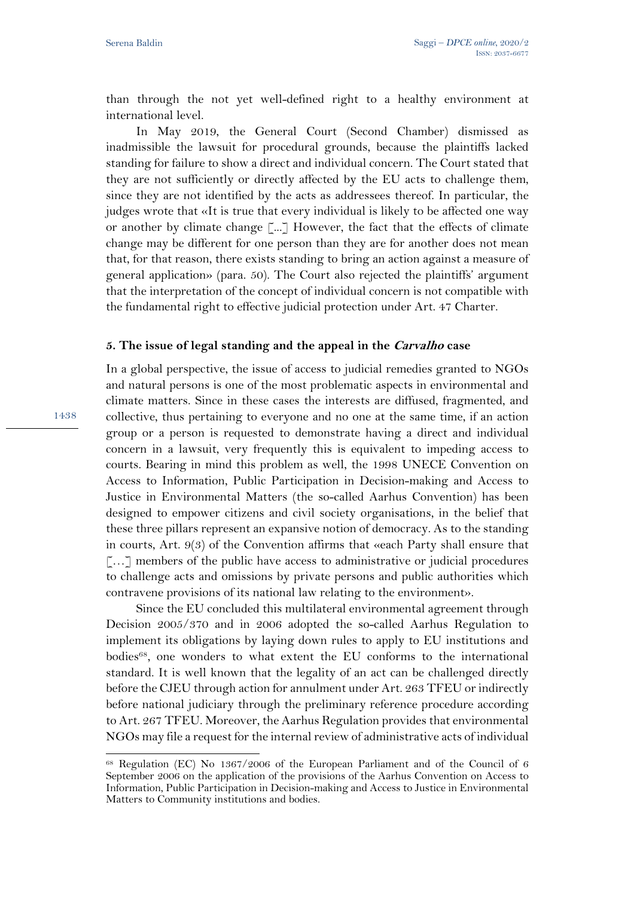than through the not yet well-defined right to a healthy environment at international level.

In May 2019, the General Court (Second Chamber) dismissed as inadmissible the lawsuit for procedural grounds, because the plaintiffs lacked standing for failure to show a direct and individual concern. The Court stated that they are not sufficiently or directly affected by the EU acts to challenge them, since they are not identified by the acts as addressees thereof. In particular, the judges wrote that «It is true that every individual is likely to be affected one way or another by climate change [...] However, the fact that the effects of climate change may be different for one person than they are for another does not mean that, for that reason, there exists standing to bring an action against a measure of general application» (para. 50). The Court also rejected the plaintiffs' argument that the interpretation of the concept of individual concern is not compatible with the fundamental right to effective judicial protection under Art. 47 Charter.

## **5. The issue of legal standing and the appeal in the Carvalho case**

In a global perspective, the issue of access to judicial remedies granted to NGOs and natural persons is one of the most problematic aspects in environmental and climate matters. Since in these cases the interests are diffused, fragmented, and collective, thus pertaining to everyone and no one at the same time, if an action group or a person is requested to demonstrate having a direct and individual concern in a lawsuit, very frequently this is equivalent to impeding access to courts. Bearing in mind this problem as well, the 1998 UNECE Convention on Access to Information, Public Participation in Decision-making and Access to Justice in Environmental Matters (the so-called Aarhus Convention) has been designed to empower citizens and civil society organisations, in the belief that these three pillars represent an expansive notion of democracy. As to the standing in courts, Art. 9(3) of the Convention affirms that «each Party shall ensure that [...] members of the public have access to administrative or judicial procedures to challenge acts and omissions by private persons and public authorities which contravene provisions of its national law relating to the environment».

Since the EU concluded this multilateral environmental agreement through Decision 2005/370 and in 2006 adopted the so-called Aarhus Regulation to implement its obligations by laying down rules to apply to EU institutions and bodies68, one wonders to what extent the EU conforms to the international standard. It is well known that the legality of an act can be challenged directly before the CJEU through action for annulment under Art. 263 TFEU or indirectly before national judiciary through the preliminary reference procedure according to Art. 267 TFEU. Moreover, the Aarhus Regulation provides that environmental NGOs may file a request for the internal review of administrative acts of individual

<sup>68</sup> Regulation (EC) No 1367/2006 of the European Parliament and of the Council of 6 September 2006 on the application of the provisions of the Aarhus Convention on Access to Information, Public Participation in Decision-making and Access to Justice in Environmental Matters to Community institutions and bodies.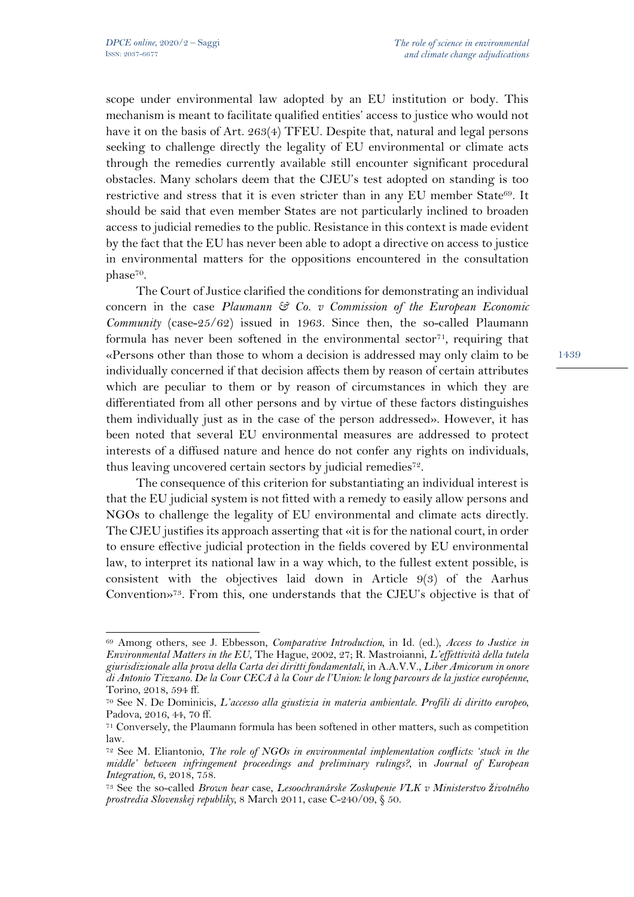scope under environmental law adopted by an EU institution or body. This mechanism is meant to facilitate qualified entities' access to justice who would not have it on the basis of Art. 263(4) TFEU. Despite that, natural and legal persons seeking to challenge directly the legality of EU environmental or climate acts through the remedies currently available still encounter significant procedural obstacles. Many scholars deem that the CJEU's test adopted on standing is too restrictive and stress that it is even stricter than in any EU member State<sup>69</sup>. It should be said that even member States are not particularly inclined to broaden access to judicial remedies to the public. Resistance in this context is made evident by the fact that the EU has never been able to adopt a directive on access to justice in environmental matters for the oppositions encountered in the consultation phase70.

The Court of Justice clarified the conditions for demonstrating an individual concern in the case *Plaumann & Co. v Commission of the European Economic Community* (case-25/62) issued in 1963. Since then, the so-called Plaumann formula has never been softened in the environmental sector<sup>71</sup>, requiring that «Persons other than those to whom a decision is addressed may only claim to be individually concerned if that decision affects them by reason of certain attributes which are peculiar to them or by reason of circumstances in which they are differentiated from all other persons and by virtue of these factors distinguishes them individually just as in the case of the person addressed». However, it has been noted that several EU environmental measures are addressed to protect interests of a diffused nature and hence do not confer any rights on individuals, thus leaving uncovered certain sectors by judicial remedies<sup>72</sup>.

The consequence of this criterion for substantiating an individual interest is that the EU judicial system is not fitted with a remedy to easily allow persons and NGOs to challenge the legality of EU environmental and climate acts directly. The CJEU justifies its approach asserting that «it is for the national court, in order to ensure effective judicial protection in the fields covered by EU environmental law, to interpret its national law in a way which, to the fullest extent possible, is consistent with the objectives laid down in Article 9(3) of the Aarhus Convention»73. From this, one understands that the CJEU's objective is that of

<sup>69</sup> Among others, see J. Ebbesson, *Comparative Introduction*, in Id. (ed.), *Access to Justice in Environmental Matters in the EU*, The Hague, 2002, 27; R. Mastroianni, *L'effettività della tutela giurisdizionale alla prova della Carta dei diritti fondamentali*, in A.A.V.V., *Liber Amicorum in onore di Antonio Tizzano. De la Cour CECA à la Cour de l'Union: le long parcours de la justice européenne*, Torino, 2018, 594 ff.

<sup>70</sup> See N. De Dominicis, *L'accesso alla giustizia in materia ambientale. Profili di diritto europeo*, Padova, 2016, 44, 70 ff.

<sup>71</sup> Conversely, the Plaumann formula has been softened in other matters, such as competition law.

<sup>72</sup> See M. Eliantonio, *The role of NGOs in environmental implementation conflicts: 'stuck in the middle' between infringement proceedings and preliminary rulings?*, in *Journal of European Integration*, 6, 2018, 758. 73 See the so-called *Brown bear* case, *Lesoochranárske Zoskupenie VLK v Ministerstvo životného* 

*prostredia Slovenskej republiky*, 8 March 2011, case C-240/09, § 50.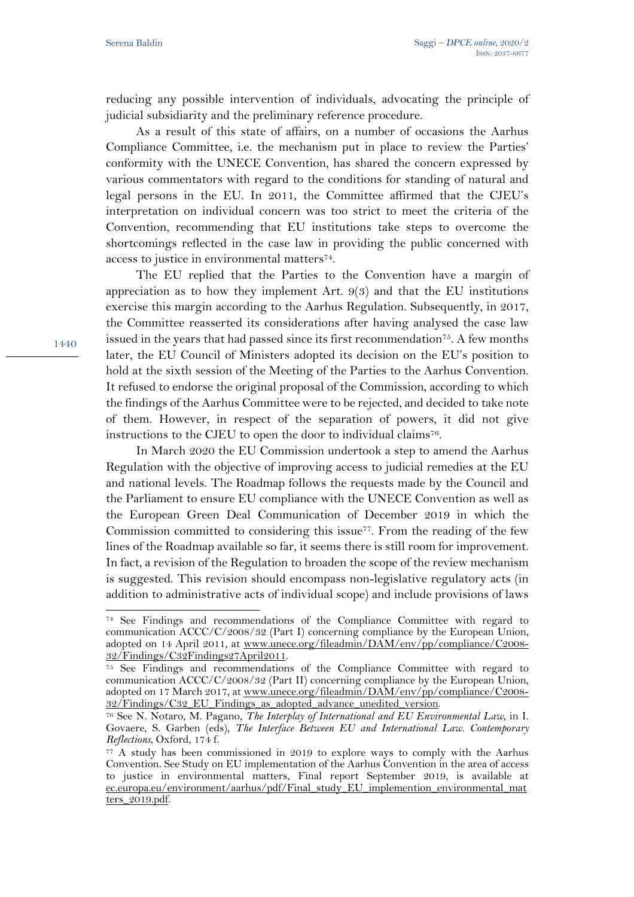reducing any possible intervention of individuals, advocating the principle of judicial subsidiarity and the preliminary reference procedure.

As a result of this state of affairs, on a number of occasions the Aarhus Compliance Committee, i.e. the mechanism put in place to review the Parties' conformity with the UNECE Convention, has shared the concern expressed by various commentators with regard to the conditions for standing of natural and legal persons in the EU. In 2011, the Committee affirmed that the CJEU's interpretation on individual concern was too strict to meet the criteria of the Convention, recommending that EU institutions take steps to overcome the shortcomings reflected in the case law in providing the public concerned with access to justice in environmental matters74.

The EU replied that the Parties to the Convention have a margin of appreciation as to how they implement Art. 9(3) and that the EU institutions exercise this margin according to the Aarhus Regulation. Subsequently, in 2017, the Committee reasserted its considerations after having analysed the case law issued in the years that had passed since its first recommendation<sup>75</sup>. A few months later, the EU Council of Ministers adopted its decision on the EU's position to hold at the sixth session of the Meeting of the Parties to the Aarhus Convention. It refused to endorse the original proposal of the Commission, according to which the findings of the Aarhus Committee were to be rejected, and decided to take note of them. However, in respect of the separation of powers, it did not give instructions to the CJEU to open the door to individual claims<sup>76</sup>.

In March 2020 the EU Commission undertook a step to amend the Aarhus Regulation with the objective of improving access to judicial remedies at the EU and national levels. The Roadmap follows the requests made by the Council and the Parliament to ensure EU compliance with the UNECE Convention as well as the European Green Deal Communication of December 2019 in which the Commission committed to considering this issue<sup>77</sup>. From the reading of the few lines of the Roadmap available so far, it seems there is still room for improvement. In fact, a revision of the Regulation to broaden the scope of the review mechanism is suggested. This revision should encompass non-legislative regulatory acts (in addition to administrative acts of individual scope) and include provisions of laws

<sup>74</sup> See Findings and recommendations of the Compliance Committee with regard to communication ACCC/C/2008/32 (Part I) concerning compliance by the European Union, adopted on 14 April 2011, at www.unece.org/fileadmin/DAM/env/pp/compliance/C2008-32/Findings/C32Findings27April2011.

<sup>75</sup> See Findings and recommendations of the Compliance Committee with regard to communication ACCC/C/2008/32 (Part II) concerning compliance by the European Union, adopted on 17 March 2017, at www.unece.org/fileadmin/DAM/env/pp/compliance/C2008- 32/Findings/C32\_EU\_Findings\_as\_adopted\_advance\_unedited\_version.

<sup>76</sup> See N. Notaro, M. Pagano, *The Interplay of International and EU Environmental Law*, in I. Govaere, S. Garben (eds), *The Interface Between EU and International Law. Contemporary Reflections*, Oxford, 174 f.

<sup>77</sup> A study has been commissioned in 2019 to explore ways to comply with the Aarhus Convention. See Study on EU implementation of the Aarhus Convention in the area of access to justice in environmental matters, Final report September 2019, is available at ec.europa.eu/environment/aarhus/pdf/Final\_study\_EU\_implemention\_environmental\_mat ters\_2019.pdf.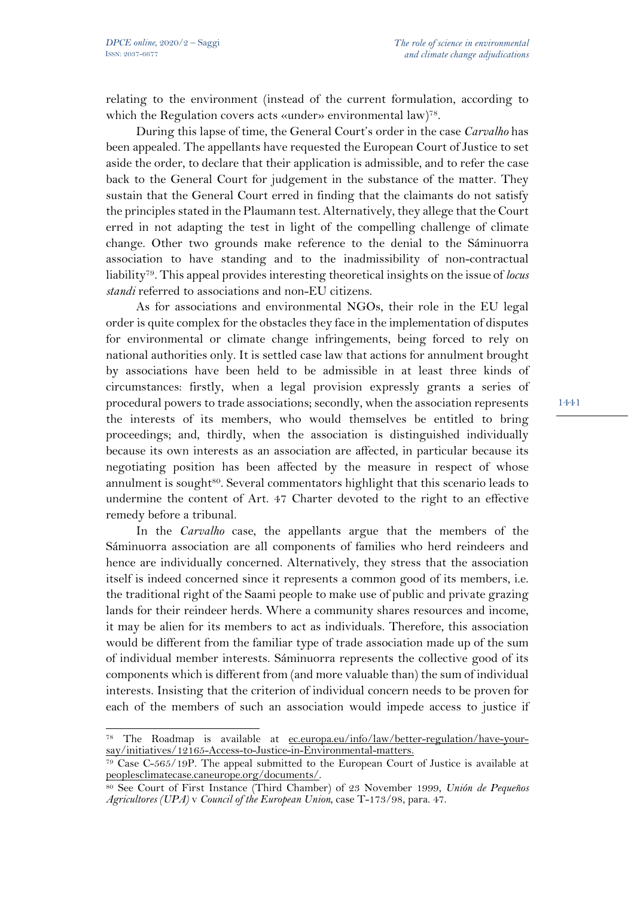relating to the environment (instead of the current formulation, according to which the Regulation covers acts «under» environmental law)<sup>78</sup>.

During this lapse of time, the General Court's order in the case *Carvalho* has been appealed. The appellants have requested the European Court of Justice to set aside the order, to declare that their application is admissible, and to refer the case back to the General Court for judgement in the substance of the matter. They sustain that the General Court erred in finding that the claimants do not satisfy the principles stated in the Plaumann test. Alternatively, they allege that the Court erred in not adapting the test in light of the compelling challenge of climate change. Other two grounds make reference to the denial to the Sáminuorra association to have standing and to the inadmissibility of non-contractual liability79. This appeal provides interesting theoretical insights on the issue of *locus standi* referred to associations and non-EU citizens.

As for associations and environmental NGOs, their role in the EU legal order is quite complex for the obstacles they face in the implementation of disputes for environmental or climate change infringements, being forced to rely on national authorities only. It is settled case law that actions for annulment brought by associations have been held to be admissible in at least three kinds of circumstances: firstly, when a legal provision expressly grants a series of procedural powers to trade associations; secondly, when the association represents the interests of its members, who would themselves be entitled to bring proceedings; and, thirdly, when the association is distinguished individually because its own interests as an association are affected, in particular because its negotiating position has been affected by the measure in respect of whose annulment is sought<sup>80</sup>. Several commentators highlight that this scenario leads to undermine the content of Art. 47 Charter devoted to the right to an effective remedy before a tribunal.

In the *Carvalho* case, the appellants argue that the members of the Sáminuorra association are all components of families who herd reindeers and hence are individually concerned. Alternatively, they stress that the association itself is indeed concerned since it represents a common good of its members, i.e. the traditional right of the Saami people to make use of public and private grazing lands for their reindeer herds. Where a community shares resources and income, it may be alien for its members to act as individuals. Therefore, this association would be different from the familiar type of trade association made up of the sum of individual member interests. Sáminuorra represents the collective good of its components which is different from (and more valuable than) the sum of individual interests. Insisting that the criterion of individual concern needs to be proven for each of the members of such an association would impede access to justice if

<sup>78</sup> The Roadmap is available at ec.europa.eu/info/law/better-regulation/have-yoursay/initiatives/12165-Access-to-Justice-in-Environmental-matters.

<sup>79</sup> Case C-565/19P. The appeal submitted to the European Court of Justice is available at peoplesclimatecase.caneurope.org/documents/.

<sup>80</sup> See Court of First Instance (Third Chamber) of 23 November 1999, *Unión de Pequeños Agricultores (UPA)* v *Council of the European Union*, case T-173/98, para. 47.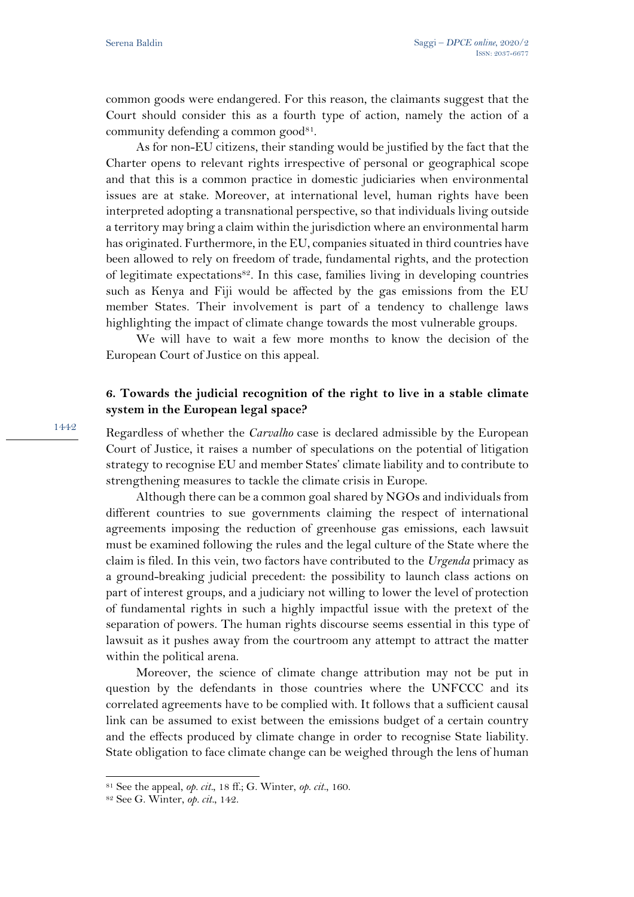common goods were endangered. For this reason, the claimants suggest that the Court should consider this as a fourth type of action, namely the action of a community defending a common good<sup>81</sup>.

As for non-EU citizens, their standing would be justified by the fact that the Charter opens to relevant rights irrespective of personal or geographical scope and that this is a common practice in domestic judiciaries when environmental issues are at stake. Moreover, at international level, human rights have been interpreted adopting a transnational perspective, so that individuals living outside a territory may bring a claim within the jurisdiction where an environmental harm has originated. Furthermore, in the EU, companies situated in third countries have been allowed to rely on freedom of trade, fundamental rights, and the protection of legitimate expectations82. In this case, families living in developing countries such as Kenya and Fiji would be affected by the gas emissions from the EU member States. Their involvement is part of a tendency to challenge laws highlighting the impact of climate change towards the most vulnerable groups.

We will have to wait a few more months to know the decision of the European Court of Justice on this appeal.

## **6. Towards the judicial recognition of the right to live in a stable climate system in the European legal space?**

Regardless of whether the *Carvalho* case is declared admissible by the European Court of Justice, it raises a number of speculations on the potential of litigation strategy to recognise EU and member States' climate liability and to contribute to strengthening measures to tackle the climate crisis in Europe.

Although there can be a common goal shared by NGOs and individuals from different countries to sue governments claiming the respect of international agreements imposing the reduction of greenhouse gas emissions, each lawsuit must be examined following the rules and the legal culture of the State where the claim is filed. In this vein, two factors have contributed to the *Urgenda* primacy as a ground-breaking judicial precedent: the possibility to launch class actions on part of interest groups, and a judiciary not willing to lower the level of protection of fundamental rights in such a highly impactful issue with the pretext of the separation of powers. The human rights discourse seems essential in this type of lawsuit as it pushes away from the courtroom any attempt to attract the matter within the political arena.

Moreover, the science of climate change attribution may not be put in question by the defendants in those countries where the UNFCCC and its correlated agreements have to be complied with. It follows that a sufficient causal link can be assumed to exist between the emissions budget of a certain country and the effects produced by climate change in order to recognise State liability. State obligation to face climate change can be weighed through the lens of human

<sup>81</sup> See the appeal, *op. cit.*, 18 ff.; G. Winter, *op. cit.*, 160.

<sup>82</sup> See G. Winter, *op. cit.*, 142.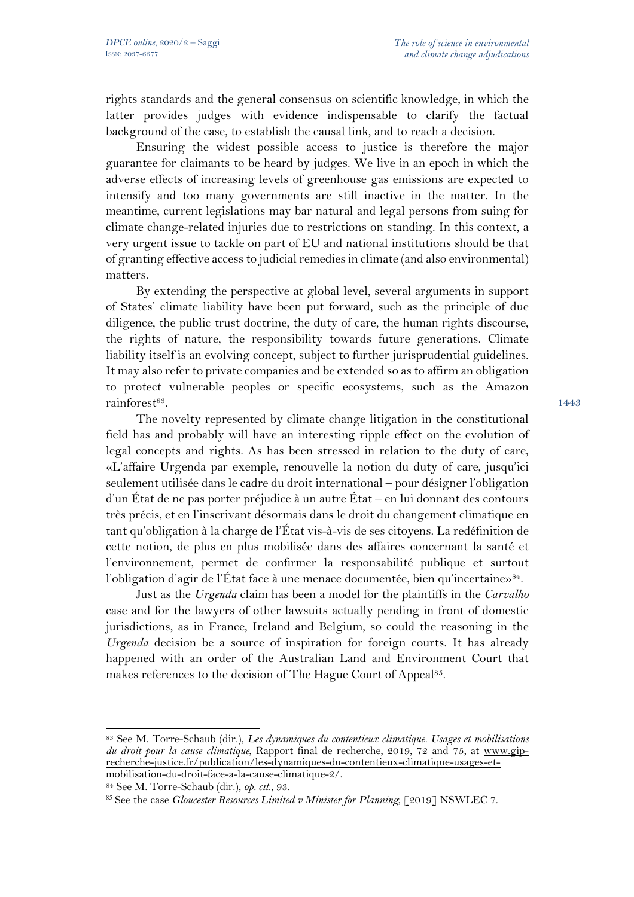rights standards and the general consensus on scientific knowledge, in which the latter provides judges with evidence indispensable to clarify the factual background of the case, to establish the causal link, and to reach a decision.

Ensuring the widest possible access to justice is therefore the major guarantee for claimants to be heard by judges. We live in an epoch in which the adverse effects of increasing levels of greenhouse gas emissions are expected to intensify and too many governments are still inactive in the matter. In the meantime, current legislations may bar natural and legal persons from suing for climate change-related injuries due to restrictions on standing. In this context, a very urgent issue to tackle on part of EU and national institutions should be that of granting effective access to judicial remedies in climate (and also environmental) matters.

By extending the perspective at global level, several arguments in support of States' climate liability have been put forward, such as the principle of due diligence, the public trust doctrine, the duty of care, the human rights discourse, the rights of nature, the responsibility towards future generations. Climate liability itself is an evolving concept, subject to further jurisprudential guidelines. It may also refer to private companies and be extended so as to affirm an obligation to protect vulnerable peoples or specific ecosystems, such as the Amazon rainforest<sup>83</sup>.

The novelty represented by climate change litigation in the constitutional field has and probably will have an interesting ripple effect on the evolution of legal concepts and rights. As has been stressed in relation to the duty of care, «L'affaire Urgenda par exemple, renouvelle la notion du duty of care, jusqu'ici seulement utilisée dans le cadre du droit international – pour désigner l'obligation d'un État de ne pas porter préjudice à un autre État – en lui donnant des contours très précis, et en l'inscrivant désormais dans le droit du changement climatique en tant qu'obligation à la charge de l'État vis-à-vis de ses citoyens. La redéfinition de cette notion, de plus en plus mobilisée dans des affaires concernant la santé et l'environnement, permet de confirmer la responsabilité publique et surtout l'obligation d'agir de l'État face à une menace documentée, bien qu'incertaine»<sup>84</sup>.

Just as the *Urgenda* claim has been a model for the plaintiffs in the *Carvalho* case and for the lawyers of other lawsuits actually pending in front of domestic jurisdictions, as in France, Ireland and Belgium, so could the reasoning in the *Urgenda* decision be a source of inspiration for foreign courts. It has already happened with an order of the Australian Land and Environment Court that makes references to the decision of The Hague Court of Appeal<sup>85</sup>.

<sup>83</sup> See M. Torre-Schaub (dir.), *Les dynamiques du contentieux climatique. Usages et mobilisations du droit pour la cause climatique*, Rapport final de recherche, 2019, 72 and 75, at www.giprecherche-justice.fr/publication/les-dynamiques-du-contentieux-climatique-usages-etmobilisation-du-droit-face-a-la-cause-climatique-2/.

<sup>84</sup> See M. Torre-Schaub (dir.), *op. cit*., 93.

<sup>85</sup> See the case *Gloucester Resources Limited v Minister for Planning*, [2019] NSWLEC 7.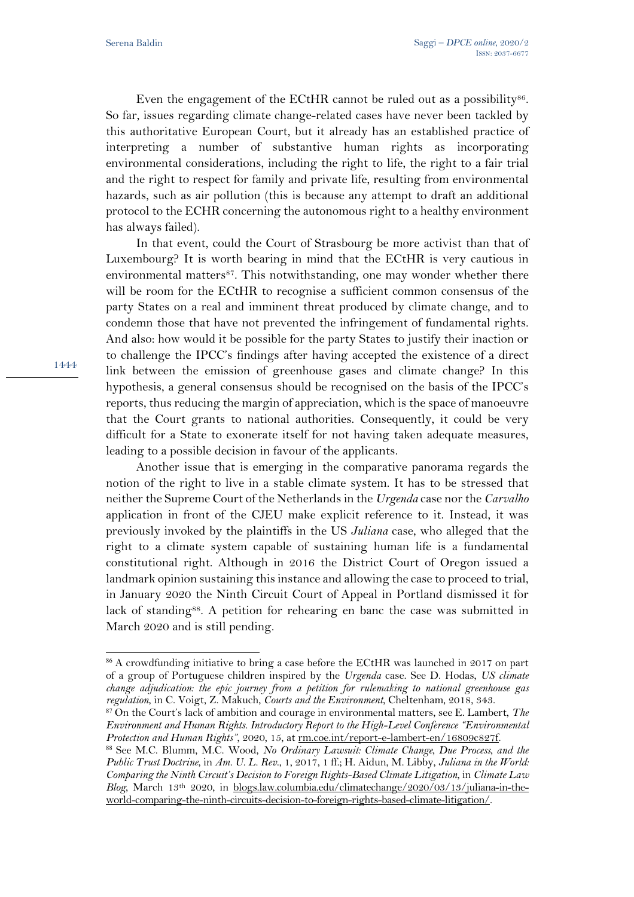Even the engagement of the ECtHR cannot be ruled out as a possibility $86$ . So far, issues regarding climate change-related cases have never been tackled by this authoritative European Court, but it already has an established practice of interpreting a number of substantive human rights as incorporating environmental considerations, including the right to life, the right to a fair trial and the right to respect for family and private life, resulting from environmental hazards, such as air pollution (this is because any attempt to draft an additional protocol to the ECHR concerning the autonomous right to a healthy environment has always failed).

In that event, could the Court of Strasbourg be more activist than that of Luxembourg? It is worth bearing in mind that the ECtHR is very cautious in environmental matters<sup>87</sup>. This notwithstanding, one may wonder whether there will be room for the ECtHR to recognise a sufficient common consensus of the party States on a real and imminent threat produced by climate change, and to condemn those that have not prevented the infringement of fundamental rights. And also: how would it be possible for the party States to justify their inaction or to challenge the IPCC's findings after having accepted the existence of a direct link between the emission of greenhouse gases and climate change? In this hypothesis, a general consensus should be recognised on the basis of the IPCC's reports, thus reducing the margin of appreciation, which is the space of manoeuvre that the Court grants to national authorities. Consequently, it could be very difficult for a State to exonerate itself for not having taken adequate measures, leading to a possible decision in favour of the applicants.

Another issue that is emerging in the comparative panorama regards the notion of the right to live in a stable climate system. It has to be stressed that neither the Supreme Court of the Netherlands in the *Urgenda* case nor the *Carvalho* application in front of the CJEU make explicit reference to it. Instead, it was previously invoked by the plaintiffs in the US *Juliana* case, who alleged that the right to a climate system capable of sustaining human life is a fundamental constitutional right. Although in 2016 the District Court of Oregon issued a landmark opinion sustaining this instance and allowing the case to proceed to trial, in January 2020 the Ninth Circuit Court of Appeal in Portland dismissed it for lack of standing<sup>88</sup>. A petition for rehearing en banc the case was submitted in March 2020 and is still pending.

<sup>86</sup> A crowdfunding initiative to bring a case before the ECtHR was launched in 2017 on part of a group of Portuguese children inspired by the *Urgenda* case. See D. Hodas, *US climate change adjudication: the epic journey from a petition for rulemaking to national greenhouse gas regulation*, in C. Voigt, Z. Makuch, *Courts and the Environment*, Cheltenham, 2018, 343.

<sup>87</sup> On the Court's lack of ambition and courage in environmental matters, see E. Lambert, *The Environment and Human Rights. Introductory Report to the High-Level Conference "Environmental Protection and Human Rights"*, 2020, 15, at  $\frac{\text{rm.coe.int/report-e-lambert-en/16809c827f.}}{P}$ 

<sup>88</sup> See M.C. Blumm, M.C. Wood, *No Ordinary Lawsuit: Climate Change, Due Process, and the Public Trust Doctrine*, in *Am. U. L. Rev*., 1, 2017, 1 ff.; H. Aidun, M. Libby, *Juliana in the World: Comparing the Ninth Circuit's Decision to Foreign Rights-Based Climate Litigation*, in *Climate Law Blog*, March 13th 2020, in blogs.law.columbia.edu/climatechange/2020/03/13/juliana-in-theworld-comparing-the-ninth-circuits-decision-to-foreign-rights-based-climate-litigation/.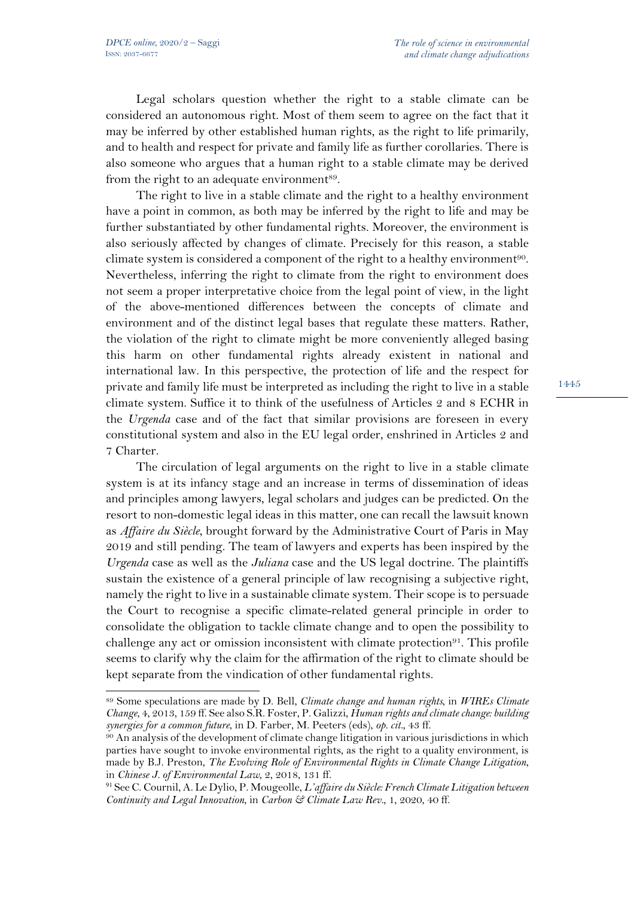Legal scholars question whether the right to a stable climate can be considered an autonomous right. Most of them seem to agree on the fact that it may be inferred by other established human rights, as the right to life primarily, and to health and respect for private and family life as further corollaries. There is also someone who argues that a human right to a stable climate may be derived from the right to an adequate environment<sup>89</sup>.

The right to live in a stable climate and the right to a healthy environment have a point in common, as both may be inferred by the right to life and may be further substantiated by other fundamental rights. Moreover, the environment is also seriously affected by changes of climate. Precisely for this reason, a stable climate system is considered a component of the right to a healthy environment<sup>90</sup>. Nevertheless, inferring the right to climate from the right to environment does not seem a proper interpretative choice from the legal point of view, in the light of the above-mentioned differences between the concepts of climate and environment and of the distinct legal bases that regulate these matters. Rather, the violation of the right to climate might be more conveniently alleged basing this harm on other fundamental rights already existent in national and international law. In this perspective, the protection of life and the respect for private and family life must be interpreted as including the right to live in a stable climate system. Suffice it to think of the usefulness of Articles 2 and 8 ECHR in the *Urgenda* case and of the fact that similar provisions are foreseen in every constitutional system and also in the EU legal order, enshrined in Articles 2 and 7 Charter.

The circulation of legal arguments on the right to live in a stable climate system is at its infancy stage and an increase in terms of dissemination of ideas and principles among lawyers, legal scholars and judges can be predicted. On the resort to non-domestic legal ideas in this matter, one can recall the lawsuit known as *Affaire du Siècle*, brought forward by the Administrative Court of Paris in May 2019 and still pending. The team of lawyers and experts has been inspired by the *Urgenda* case as well as the *Juliana* case and the US legal doctrine. The plaintiffs sustain the existence of a general principle of law recognising a subjective right, namely the right to live in a sustainable climate system. Their scope is to persuade the Court to recognise a specific climate-related general principle in order to consolidate the obligation to tackle climate change and to open the possibility to challenge any act or omission inconsistent with climate protection<sup>91</sup>. This profile seems to clarify why the claim for the affirmation of the right to climate should be kept separate from the vindication of other fundamental rights.

<sup>89</sup> Some speculations are made by D. Bell, *Climate change and human rights*, in *WIREs Climate Change*, 4, 2013, 159 ff. See also S.R. Foster, P. Galizzi, *Human rights and climate change: building synergies for a common future*, in D. Farber, M. Peeters (eds), *op. cit.*, 43 ff.

<sup>90</sup> An analysis of the development of climate change litigation in various jurisdictions in which parties have sought to invoke environmental rights, as the right to a quality environment, is made by B.J. Preston, *The Evolving Role of Environmental Rights in Climate Change Litigation*, in *Chinese J. of Environmental Law*, 2, 2018, 131 ff.

<sup>91</sup> See C. Cournil, A. Le Dylio, P. Mougeolle, *L'affaire du Siècle: French Climate Litigation between Continuity and Legal Innovation*, in *Carbon & Climate Law Rev.*, 1, 2020, 40 ff.